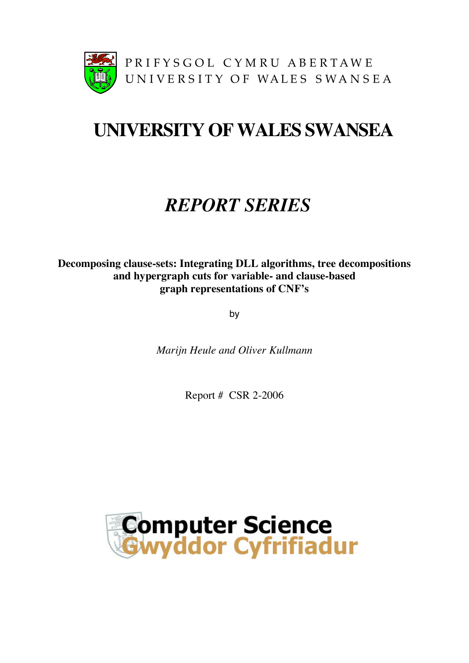

# **UNIVERSITY OFWALES SWANSEA**

# *REPORT SERIES*

**Decomposing clause-sets: Integrating DLL algorithms, tree decompositions and hypergraph cuts for variable- and clause-based graph representations of CNF's**

by

*Marijn Heule and Oliver Kullmann*

Report # CSR 2-2006

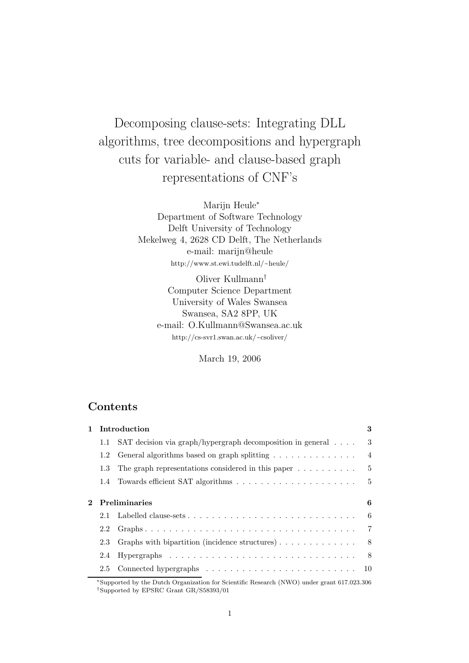Decomposing clause-sets: Integrating DLL algorithms, tree decompositions and hypergraph cuts for variable- and clause-based graph representations of CNF's

> Marijn Heule<sup>∗</sup> Department of Software Technology Delft University of Technology Mekelweg 4, 2628 CD Delft, The Netherlands e-mail: marijn@heule http://www.st.ewi.tudelft.nl/~heule/

> > Oliver Kullmann† Computer Science Department University of Wales Swansea Swansea, SA2 8PP, UK e-mail: O.Kullmann@Swansea.ac.uk http://cs-svr1.swan.ac.uk/~csoliver/

> > > March 19, 2006

# **Contents**

| $\mathbf{1}$ |         | Introduction                                                                 | 3              |
|--------------|---------|------------------------------------------------------------------------------|----------------|
|              | 1.1     | SAT decision via graph/hypergraph decomposition in general $\dots$ .         | 3              |
|              |         | 1.2 General algorithms based on graph splitting                              | $\overline{4}$ |
|              | 1.3     | The graph representations considered in this paper $\dots \dots \dots$       | $\frac{5}{2}$  |
|              |         |                                                                              | - 5            |
| $2^{\circ}$  |         | Preliminaries                                                                | 6              |
|              | $2.1 -$ |                                                                              | - 6            |
|              | 2.2     |                                                                              |                |
|              | 2.3     | Graphs with bipartition (incidence structures) $\ldots \ldots \ldots \ldots$ | -8             |
|              | 2.4     |                                                                              | - 8            |
|              | 2.5     |                                                                              |                |
|              |         |                                                                              |                |

<sup>∗</sup>Supported by the Dutch Organization for Scientific Research (NWO) under grant 617.023.306 †Supported by EPSRC Grant GR/S58393/01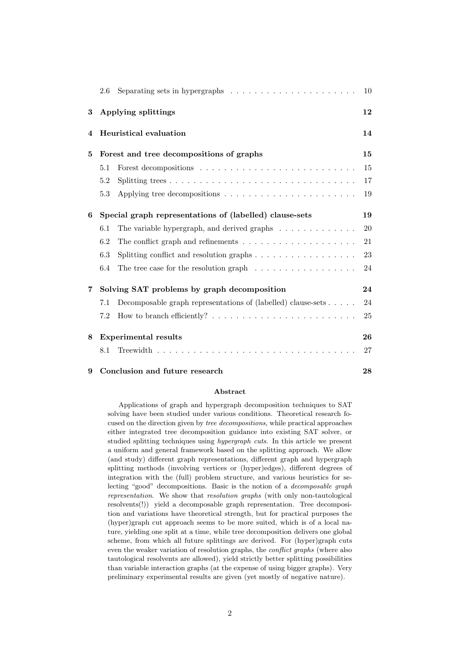|                         | 2.6                                      | Separating sets in hypergraphs $\ldots \ldots \ldots \ldots \ldots \ldots$     | 10 |  |  |  |  |  |  |  |  |  |
|-------------------------|------------------------------------------|--------------------------------------------------------------------------------|----|--|--|--|--|--|--|--|--|--|
| 3                       | 12<br>Applying splittings                |                                                                                |    |  |  |  |  |  |  |  |  |  |
| $\overline{\mathbf{4}}$ | Heuristical evaluation<br>14             |                                                                                |    |  |  |  |  |  |  |  |  |  |
| 5                       | Forest and tree decompositions of graphs |                                                                                |    |  |  |  |  |  |  |  |  |  |
|                         | 5.1                                      |                                                                                | 15 |  |  |  |  |  |  |  |  |  |
|                         | 5.2                                      |                                                                                | 17 |  |  |  |  |  |  |  |  |  |
|                         | 5.3                                      |                                                                                | 19 |  |  |  |  |  |  |  |  |  |
| 6                       |                                          | Special graph representations of (labelled) clause-sets                        | 19 |  |  |  |  |  |  |  |  |  |
|                         | 6.1                                      | The variable hypergraph, and derived graphs $\ldots \ldots \ldots \ldots$      | 20 |  |  |  |  |  |  |  |  |  |
|                         | 6.2                                      | The conflict graph and refinements $\dots \dots \dots \dots \dots \dots \dots$ | 21 |  |  |  |  |  |  |  |  |  |
|                         | 6.3                                      | Splitting conflict and resolution graphs $\dots \dots \dots \dots \dots \dots$ | 23 |  |  |  |  |  |  |  |  |  |
|                         | 6.4                                      | The tree case for the resolution graph $\ldots \ldots \ldots \ldots \ldots$    | 24 |  |  |  |  |  |  |  |  |  |
| 7                       |                                          | Solving SAT problems by graph decomposition                                    | 24 |  |  |  |  |  |  |  |  |  |
|                         | 7.1                                      | Decomposable graph representations of (labelled) clause-sets $\dots$ .         | 24 |  |  |  |  |  |  |  |  |  |
|                         | 7.2                                      |                                                                                | 25 |  |  |  |  |  |  |  |  |  |
| 8                       |                                          | <b>Experimental results</b>                                                    | 26 |  |  |  |  |  |  |  |  |  |
|                         | 8.1                                      |                                                                                | 27 |  |  |  |  |  |  |  |  |  |
| 9                       |                                          | Conclusion and future research                                                 | 28 |  |  |  |  |  |  |  |  |  |

#### Abstract

Applications of graph and hypergraph decomposition techniques to SAT solving have been studied under various conditions. Theoretical research focused on the direction given by tree decompositions, while practical approaches either integrated tree decomposition guidance into existing SAT solver, or studied splitting techniques using hypergraph cuts. In this article we present a uniform and general framework based on the splitting approach. We allow (and study) different graph representations, different graph and hypergraph splitting methods (involving vertices or (hyper)edges), different degrees of integration with the (full) problem structure, and various heuristics for selecting "good" decompositions. Basic is the notion of a decomposable graph representation. We show that resolution graphs (with only non-tautological resolvents(!)) yield a decomposable graph representation. Tree decomposition and variations have theoretical strength, but for practical purposes the (hyper)graph cut approach seems to be more suited, which is of a local nature, yielding one split at a time, while tree decomposition delivers one global scheme, from which all future splittings are derived. For (hyper)graph cuts even the weaker variation of resolution graphs, the conflict graphs (where also tautological resolvents are allowed), yield strictly better splitting possibilities than variable interaction graphs (at the expense of using bigger graphs). Very preliminary experimental results are given (yet mostly of negative nature).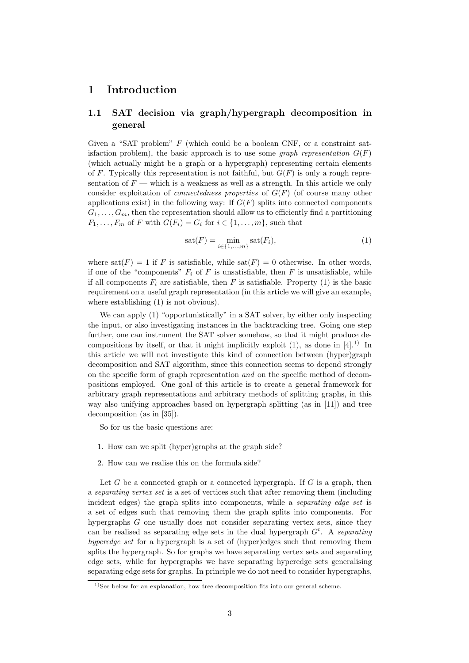## 1 Introduction

## 1.1 SAT decision via graph/hypergraph decomposition in general

Given a "SAT problem" F (which could be a boolean CNF, or a constraint satisfaction problem), the basic approach is to use some graph representation  $G(F)$ (which actually might be a graph or a hypergraph) representing certain elements of F. Typically this representation is not faithful, but  $G(F)$  is only a rough representation of  $F$  — which is a weakness as well as a strength. In this article we only consider exploitation of *connectedness properties* of  $G(F)$  (of course many other applications exist) in the following way: If  $G(F)$  splits into connected components  $G_1, \ldots, G_m$ , then the representation should allow us to efficiently find a partitioning  $F_1, \ldots, F_m$  of F with  $G(F_i) = G_i$  for  $i \in \{1, \ldots, m\}$ , such that

$$
sat(F) = \min_{i \in \{1, \dots, m\}} sat(F_i),\tag{1}
$$

where sat $(F) = 1$  if F is satisfiable, while  $sat(F) = 0$  otherwise. In other words, if one of the "components"  $F_i$  of F is unsatisfiable, then F is unsatisfiable, while if all components  $F_i$  are satisfiable, then F is satisfiable. Property (1) is the basic requirement on a useful graph representation (in this article we will give an example, where establishing  $(1)$  is not obvious).

We can apply (1) "opportunistically" in a SAT solver, by either only inspecting the input, or also investigating instances in the backtracking tree. Going one step further, one can instrument the SAT solver somehow, so that it might produce decompositions by itself, or that it might implicitly exploit (1), as done in  $[4]$ .<sup>1)</sup> In this article we will not investigate this kind of connection between (hyper)graph decomposition and SAT algorithm, since this connection seems to depend strongly on the specific form of graph representation and on the specific method of decompositions employed. One goal of this article is to create a general framework for arbitrary graph representations and arbitrary methods of splitting graphs, in this way also unifying approaches based on hypergraph splitting (as in [11]) and tree decomposition (as in [35]).

So for us the basic questions are:

- 1. How can we split (hyper)graphs at the graph side?
- 2. How can we realise this on the formula side?

Let  $G$  be a connected graph or a connected hypergraph. If  $G$  is a graph, then a separating vertex set is a set of vertices such that after removing them (including incident edges) the graph splits into components, while a separating edge set is a set of edges such that removing them the graph splits into components. For hypergraphs G one usually does not consider separating vertex sets, since they can be realised as separating edge sets in the dual hypergraph  $G<sup>t</sup>$ . A separating hyperedge set for a hypergraph is a set of (hyper)edges such that removing them splits the hypergraph. So for graphs we have separating vertex sets and separating edge sets, while for hypergraphs we have separating hyperedge sets generalising separating edge sets for graphs. In principle we do not need to consider hypergraphs,

<sup>&</sup>lt;sup>1)</sup>See below for an explanation, how tree decomposition fits into our general scheme.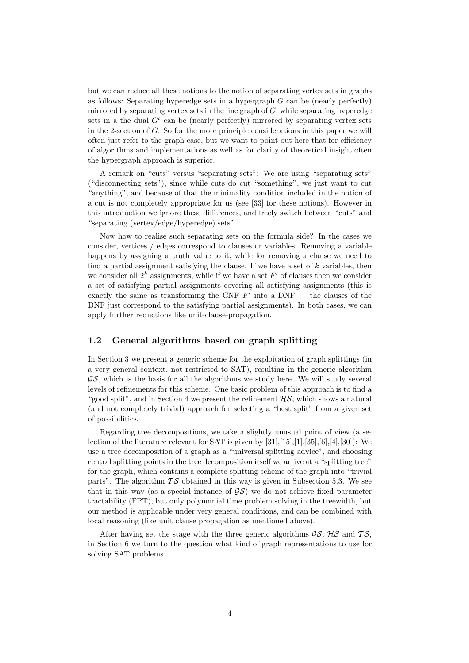but we can reduce all these notions to the notion of separating vertex sets in graphs as follows: Separating hyperedge sets in a hypergraph  $G$  can be (nearly perfectly) mirrored by separating vertex sets in the line graph of  $G$ , while separating hyperedge sets in a the dual  $G<sup>t</sup>$  can be (nearly perfectly) mirrored by separating vertex sets in the 2-section of G. So for the more principle considerations in this paper we will often just refer to the graph case, but we want to point out here that for efficiency of algorithms and implementations as well as for clarity of theoretical insight often the hypergraph approach is superior.

A remark on "cuts" versus "separating sets": We are using "separating sets" ("disconnecting sets"), since while cuts do cut "something", we just want to cut "anything", and because of that the minimality condition included in the notion of a cut is not completely appropriate for us (see [33] for these notions). However in this introduction we ignore these differences, and freely switch between "cuts" and "separating (vertex/edge/hyperedge) sets".

Now how to realise such separating sets on the formula side? In the cases we consider, vertices / edges correspond to clauses or variables: Removing a variable happens by assigning a truth value to it, while for removing a clause we need to find a partial assignment satisfying the clause. If we have a set of  $k$  variables, then we consider all  $2^k$  assignments, while if we have a set  $F'$  of clauses then we consider a set of satisfying partial assignments covering all satisfying assignments (this is exactly the same as transforming the CNF  $F'$  into a DNF  $-$  the clauses of the DNF just correspond to the satisfying partial assignments). In both cases, we can apply further reductions like unit-clause-propagation.

#### 1.2 General algorithms based on graph splitting

In Section 3 we present a generic scheme for the exploitation of graph splittings (in a very general context, not restricted to SAT), resulting in the generic algorithm  $\mathcal{G}\mathcal{S}$ , which is the basis for all the algorithms we study here. We will study several levels of refinements for this scheme. One basic problem of this approach is to find a "good split", and in Section 4 we present the refinement  $\mathcal{H}\mathcal{S}$ , which shows a natural (and not completely trivial) approach for selecting a "best split" from a given set of possibilities.

Regarding tree decompositions, we take a slightly unusual point of view (a selection of the literature relevant for SAT is given by [31],[15],[1],[35],[6],[4],[30]): We use a tree decomposition of a graph as a "universal splitting advice", and choosing central splitting points in the tree decomposition itself we arrive at a "splitting tree" for the graph, which contains a complete splitting scheme of the graph into "trivial parts". The algorithm  $TS$  obtained in this way is given in Subsection 5.3. We see that in this way (as a special instance of  $\mathcal{GS}$ ) we do not achieve fixed parameter tractability (FPT), but only polynomial time problem solving in the treewidth, but our method is applicable under very general conditions, and can be combined with local reasoning (like unit clause propagation as mentioned above).

After having set the stage with the three generic algorithms  $\mathcal{GS}, \mathcal{HS}$  and  $\mathcal{TS},$ in Section 6 we turn to the question what kind of graph representations to use for solving SAT problems.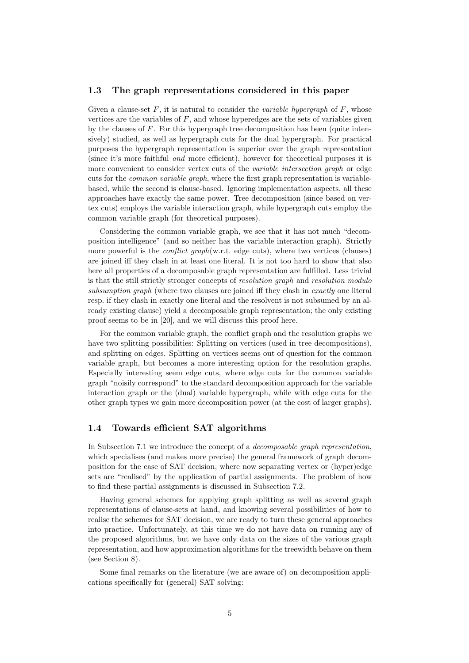#### 1.3 The graph representations considered in this paper

Given a clause-set  $F$ , it is natural to consider the *variable hypergraph* of  $F$ , whose vertices are the variables of  $F$ , and whose hyperedges are the sets of variables given by the clauses of  $F$ . For this hypergraph tree decomposition has been (quite intensively) studied, as well as hypergraph cuts for the dual hypergraph. For practical purposes the hypergraph representation is superior over the graph representation (since it's more faithful and more efficient), however for theoretical purposes it is more convenient to consider vertex cuts of the variable intersection graph or edge cuts for the common variable graph, where the first graph representation is variablebased, while the second is clause-based. Ignoring implementation aspects, all these approaches have exactly the same power. Tree decomposition (since based on vertex cuts) employs the variable interaction graph, while hypergraph cuts employ the common variable graph (for theoretical purposes).

Considering the common variable graph, we see that it has not much "decomposition intelligence" (and so neither has the variable interaction graph). Strictly more powerful is the *conflict graph*(w.r.t. edge cuts), where two vertices (clauses) are joined iff they clash in at least one literal. It is not too hard to show that also here all properties of a decomposable graph representation are fulfilled. Less trivial is that the still strictly stronger concepts of resolution graph and resolution modulo subsumption graph (where two clauses are joined iff they clash in exactly one literal resp. if they clash in exactly one literal and the resolvent is not subsumed by an already existing clause) yield a decomposable graph representation; the only existing proof seems to be in [20], and we will discuss this proof here.

For the common variable graph, the conflict graph and the resolution graphs we have two splitting possibilities: Splitting on vertices (used in tree decompositions), and splitting on edges. Splitting on vertices seems out of question for the common variable graph, but becomes a more interesting option for the resolution graphs. Especially interesting seem edge cuts, where edge cuts for the common variable graph "noisily correspond" to the standard decomposition approach for the variable interaction graph or the (dual) variable hypergraph, while with edge cuts for the other graph types we gain more decomposition power (at the cost of larger graphs).

#### 1.4 Towards efficient SAT algorithms

In Subsection 7.1 we introduce the concept of a decomposable graph representation, which specialises (and makes more precise) the general framework of graph decomposition for the case of SAT decision, where now separating vertex or (hyper)edge sets are "realised" by the application of partial assignments. The problem of how to find these partial assignments is discussed in Subsection 7.2.

Having general schemes for applying graph splitting as well as several graph representations of clause-sets at hand, and knowing several possibilities of how to realise the schemes for SAT decision, we are ready to turn these general approaches into practice. Unfortunately, at this time we do not have data on running any of the proposed algorithms, but we have only data on the sizes of the various graph representation, and how approximation algorithms for the treewidth behave on them (see Section 8).

Some final remarks on the literature (we are aware of) on decomposition applications specifically for (general) SAT solving: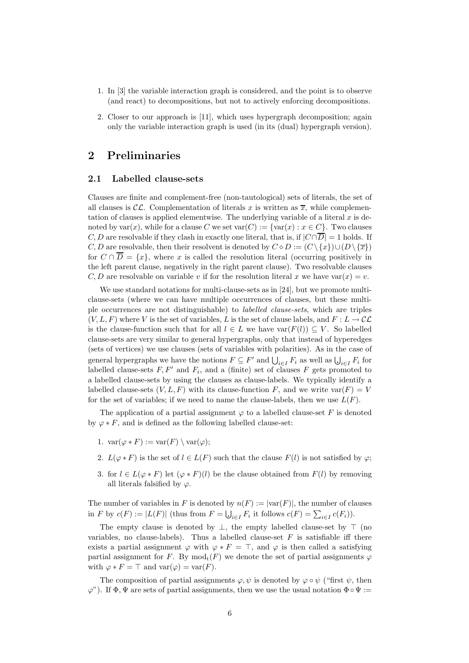- 1. In [3] the variable interaction graph is considered, and the point is to observe (and react) to decompositions, but not to actively enforcing decompositions.
- 2. Closer to our approach is [11], which uses hypergraph decomposition; again only the variable interaction graph is used (in its (dual) hypergraph version).

## 2 Preliminaries

#### 2.1 Labelled clause-sets

Clauses are finite and complement-free (non-tautological) sets of literals, the set of all clauses is  $\mathcal{CL}$ . Complementation of literals x is written as  $\overline{x}$ , while complementation of clauses is applied elementwise. The underlying variable of a literal  $x$  is denoted by  $var(x)$ , while for a clause C we set  $var(C) := \{var(x) : x \in C\}$ . Two clauses C, D are resolvable if they clash in exactly one literal, that is, if  $|C \cap \overline{D}| = 1$  holds. If C, D are resolvable, then their resolvent is denoted by  $C \diamond D := (C \setminus \{x\}) \cup (D \setminus \{\overline{x}\})$ for  $C \cap \overline{D} = \{x\}$ , where x is called the resolution literal (occurring positively in the left parent clause, negatively in the right parent clause). Two resolvable clauses C, D are resolvable on variable v if for the resolution literal x we have var $(x) = v$ .

We use standard notations for multi-clause-sets as in [24], but we promote multiclause-sets (where we can have multiple occurrences of clauses, but these multiple occurrences are not distinguishable) to labelled clause-sets, which are triples  $(V, L, F)$  where V is the set of variables, L is the set of clause labels, and  $F : L \to \mathcal{CL}$ is the clause-function such that for all  $l \in L$  we have  $\text{var}(F(l)) \subseteq V$ . So labelled clause-sets are very similar to general hypergraphs, only that instead of hyperedges (sets of vertices) we use clauses (sets of variables with polarities). As in the case of general hypergraphs we have the notions  $F \subseteq F'$  and  $\bigcup_{i \in I} F_i$  as well as  $\bigcup_{i \in I} F_i$  for labelled clause-sets F  $F'$  and F, and a (finite) set of clauses F gets promoted to labelled clause-sets  $F, F'$  and  $F_i$ , and a (finite) set of clauses  $F$  gets promoted to a labelled clause-sets by using the clauses as clause-labels. We typically identify a labelled clause-sets  $(V, L, F)$  with its clause-function F, and we write  $var(F) = V$ for the set of variables; if we need to name the clause-labels, then we use  $L(F)$ .

The application of a partial assignment  $\varphi$  to a labelled clause-set F is denoted by  $\varphi * F$ , and is defined as the following labelled clause-set:

- 1.  $var(\varphi * F) := var(F) \setminus var(\varphi);$
- 2.  $L(\varphi * F)$  is the set of  $l \in L(F)$  such that the clause  $F(l)$  is not satisfied by  $\varphi$ ;
- 3. for  $l \in L(\varphi * F)$  let  $(\varphi * F)(l)$  be the clause obtained from  $F(l)$  by removing all literals falsified by  $\varphi$ .

The number of variables in F is denoted by  $n(F) := |\text{var}(F)|$ , the number of clauses in F by  $c(F) := |L(F)|$  (thus from  $F = \bigcup_{i \in I} F_i$  it follows  $c(F) = \sum_{i \in I} c(F_i)$ ).

The empty clause is denoted by  $\perp$ , the empty labelled clause-set by  $\top$  (no variables, no clause-labels). Thus a labelled clause-set  $F$  is satisfiable iff there exists a partial assignment  $\varphi$  with  $\varphi * F = \top$ , and  $\varphi$  is then called a satisfying partial assignment for F. By  $mod_t(F)$  we denote the set of partial assignments  $\varphi$ with  $\varphi * F = \top$  and  $var(\varphi) = var(F)$ .

The composition of partial assignments  $\varphi, \psi$  is denoted by  $\varphi \circ \psi$  ("first  $\psi$ , then  $\varphi$ "). If  $\Phi$ ,  $\Psi$  are sets of partial assignments, then we use the usual notation  $\Phi \circ \Psi$  :=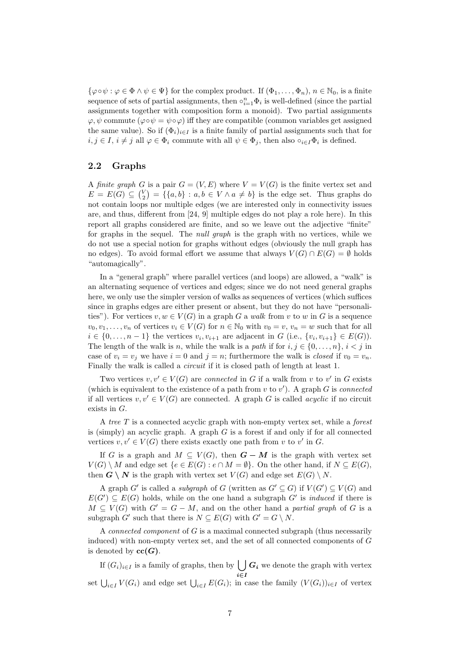$\{\varphi \circ \psi : \varphi \in \Phi \land \psi \in \Psi\}$  for the complex product. If  $(\Phi_1, \ldots, \Phi_n)$ ,  $n \in \mathbb{N}_0$ , is a finite sequence of sets of partial assignments, then  $\circ_{i=1}^n \Phi_i$  is well-defined (since the partial assignments together with composition form a monoid). Two partial assignments  $\varphi, \psi$  commute  $(\varphi \circ \psi = \psi \circ \varphi)$  iff they are compatible (common variables get assigned the same value). So if  $(\Phi_i)_{i\in I}$  is a finite family of partial assignments such that for  $i, j \in I$ ,  $i \neq j$  all  $\varphi \in \Phi_i$  commute with all  $\psi \in \Phi_j$ , then also  $\circ_{i \in I} \Phi_i$  is defined.

#### 2.2 Graphs

A finite graph G is a pair  $G = (V, E)$  where  $V = V(G)$  is the finite vertex set and  $E = E(G) \subseteq {V \choose 2} = \{ \{a, b\} : a, b \in V \land a \neq b \}$  is the edge set. Thus graphs do not contain loops nor multiple edges (we are interested only in connectivity issues are, and thus, different from [24, 9] multiple edges do not play a role here). In this report all graphs considered are finite, and so we leave out the adjective "finite" for graphs in the sequel. The null graph is the graph with no vertices, while we do not use a special notion for graphs without edges (obviously the null graph has no edges). To avoid formal effort we assume that always  $V(G) \cap E(G) = \emptyset$  holds "automagically".

In a "general graph" where parallel vertices (and loops) are allowed, a "walk" is an alternating sequence of vertices and edges; since we do not need general graphs here, we only use the simpler version of walks as sequences of vertices (which suffices since in graphs edges are either present or absent, but they do not have "personalities"). For vertices  $v, w \in V(G)$  in a graph G a walk from v to w in G is a sequence  $v_0, v_1, \ldots, v_n$  of vertices  $v_i \in V(G)$  for  $n \in \mathbb{N}_0$  with  $v_0 = v$ ,  $v_n = w$  such that for all  $i \in \{0, \ldots, n-1\}$  the vertices  $v_i, v_{i+1}$  are adjacent in  $G$  (i.e.,  $\{v_i, v_{i+1}\} \in E(G)$ ). The length of the walk is n, while the walk is a path if for  $i, j \in \{0, \ldots, n\}, i < j$  in case of  $v_i = v_j$  we have  $i = 0$  and  $j = n$ ; furthermore the walk is *closed* if  $v_0 = v_n$ . Finally the walk is called a *circuit* if it is closed path of length at least 1.

Two vertices  $v, v' \in V(G)$  are *connected* in G if a walk from v to v' in G exists (which is equivalent to the existence of a path from  $v$  to  $v'$ ). A graph  $G$  is *connected* if all vertices  $v, v' \in V(G)$  are connected. A graph G is called *acyclic* if no circuit exists in G.

A tree T is a connected acyclic graph with non-empty vertex set, while a forest is (simply) an acyclic graph. A graph  $G$  is a forest if and only if for all connected vertices  $v, v' \in V(G)$  there exists exactly one path from v to v' in G.

If G is a graph and  $M \subseteq V(G)$ , then  $G - M$  is the graph with vertex set  $V(G) \setminus M$  and edge set  $\{e \in E(G) : e \cap M = \emptyset\}$ . On the other hand, if  $N \subseteq E(G)$ , then  $G \setminus N$  is the graph with vertex set  $V(G)$  and edge set  $E(G) \setminus N$ .

A graph  $G'$  is called a *subgraph* of  $G$  (written as  $G' \subseteq G$ ) if  $V(G') \subseteq V(G)$  and  $E(G') \subseteq E(G)$  holds, while on the one hand a subgraph G' is *induced* if there is  $M \subseteq V(G)$  with  $G' = G - M$ , and on the other hand a partial graph of G is a subgraph  $G'$  such that there is  $N \subseteq E(G)$  with  $G' = G \setminus N$ .

A connected component of  $G$  is a maximal connected subgraph (thus necessarily induced) with non-empty vertex set, and the set of all connected components of G is denoted by  $cc(G)$ .

If  $(G_i)_{i\in I}$  is a family of graphs, then by  $\left\lfloor \ \right\rfloor G_i$  we denote the graph with vertex i∈I set  $\bigcup_{i\in I} V(G_i)$  and edge set  $\bigcup_{i\in I} E(G_i)$ ; in case the family  $(V(G_i))_{i\in I}$  of vertex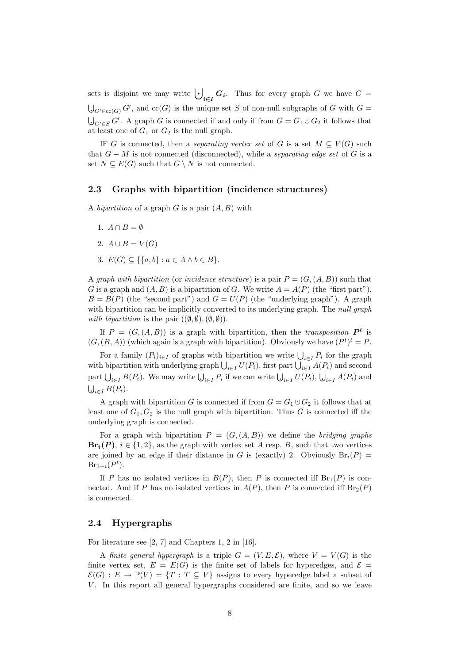sets is disjoint we may write  $\bigcup_{i\in I} G_i$ . Thus for every graph G we have  $G =$  $\bigcup_{G' \in \text{cc}(G)} G'$ , and  $\text{cc}(G)$  is the unique set S of non-null subgraphs of G with  $G =$  $\bigcup_{G' \in S} G \cdot A$  graph G is connected if and<br>at least one of  $G_1$  or  $G_2$  is the null graph.  $\bigcup_{G' \in S} G'$ . A graph G is connected if and only if from  $G = G_1 \cup G_2$  it follows that

IF G is connected, then a *separating vertex set* of G is a set  $M \subseteq V(G)$  such that  $G - M$  is not connected (disconnected), while a separating edge set of G is a set  $N \subseteq E(G)$  such that  $G \setminus N$  is not connected.

#### 2.3 Graphs with bipartition (incidence structures)

A bipartition of a graph  $G$  is a pair  $(A, B)$  with

- 1.  $A \cap B = \emptyset$
- 2.  $A \cup B = V(G)$
- 3.  $E(G) \subseteq \{ \{a, b\} : a \in A \land b \in B \}.$

A graph with bipartition (or incidence structure) is a pair  $P = (G, (A, B))$  such that G is a graph and  $(A, B)$  is a bipartition of G. We write  $A = A(P)$  (the "first part").  $B = B(P)$  (the "second part") and  $G = U(P)$  (the "underlying graph"). A graph with bipartition can be implicitly converted to its underlying graph. The null graph with bipartition is the pair  $((\emptyset, \emptyset),(\emptyset, \emptyset))$ .

If  $P = (G, (A, B))$  is a graph with bipartition, then the transposition  $P^t$  is  $(G, (B, A))$  (which again is a graph with bipartition). Obviously we have  $(P<sup>t</sup>)<sup>t</sup> = P$ .

For a family  $(P_i)_{i \in I}$  of graphs with bipartition we write  $\bigcup_{i \in I} P_i$  for the graph with bipartition with underlying graph  $\bigcup_{i\in I} U(P_i)$ , first part  $\bigcup_{i\in I} A(P_i)$  and second part  $\bigcup_{i\in I} B(P_i)$ . We may write  $\bigcup_{i\in I} P_i$  if we can write  $\bigcup_{i\in I} U(P_i)$ ,  $\bigcup_{i\in I} A(P_i)$  and  $\bigcup_{i\in I} B(P_i).$ 

A graph with bipartition G is connected if from  $G = G_1 \cup G_2$  it follows that at least one of  $G_1, G_2$  is the null graph with bipartition. Thus G is connected iff the underlying graph is connected.

For a graph with bipartition  $P = (G, (A, B))$  we define the *bridging graphs*  $\text{Br}_i(P)$ ,  $i \in \{1,2\}$ , as the graph with vertex set A resp. B, such that two vertices are joined by an edge if their distance in G is (exactly) 2. Obviously  $Br_i(P)$  =  $\text{Br}_{3-i}(P^t)$ .

If P has no isolated vertices in  $B(P)$ , then P is connected iff  $Br_1(P)$  is connected. And if P has no isolated vertices in  $A(P)$ , then P is connected iff  $Br_2(P)$ is connected.

#### 2.4 Hypergraphs

For literature see [2, 7] and Chapters 1, 2 in [16].

A finite general hypergraph is a triple  $G = (V, E, \mathcal{E})$ , where  $V = V(G)$  is the finite vertex set,  $E = E(G)$  is the finite set of labels for hyperedges, and  $\mathcal{E} =$  $\mathcal{E}(G) : E \to \mathbb{P}(V) = \{T : T \subseteq V\}$  assigns to every hyperedge label a subset of V. In this report all general hypergraphs considered are finite, and so we leave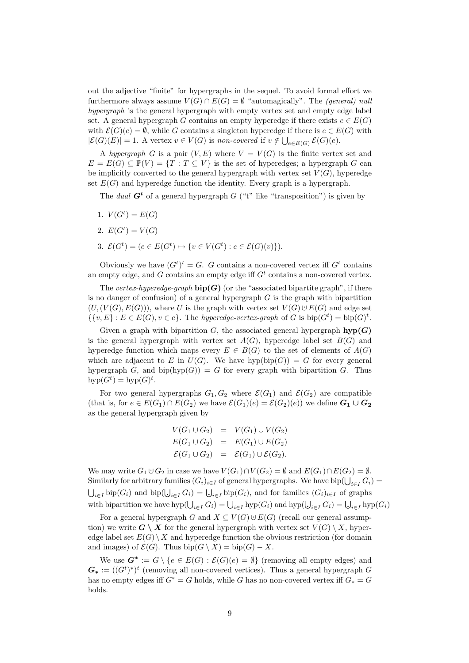out the adjective "finite" for hypergraphs in the sequel. To avoid formal effort we furthermore always assume  $V(G) \cap E(G) = \emptyset$  "automagically". The *(general) null* hypergraph is the general hypergraph with empty vertex set and empty edge label set. A general hypergraph G contains an empty hyperedge if there exists  $e \in E(G)$ with  $\mathcal{E}(G)(e) = \emptyset$ , while G contains a singleton hyperedge if there is  $e \in E(G)$  with  $|\mathcal{E}(G)(E)| = 1$ . A vertex  $v \in V(G)$  is non-covered if  $v \notin \bigcup_{e \in E(G)} \mathcal{E}(G)(e)$ .

A hypergraph G is a pair  $(V, E)$  where  $V = V(G)$  is the finite vertex set and  $E = E(G) \subseteq \mathbb{P}(V) = \{T : T \subseteq V\}$  is the set of hyperedges; a hypergraph G can be implicitly converted to the general hypergraph with vertex set  $V(G)$ , hyperedge set  $E(G)$  and hyperedge function the identity. Every graph is a hypergraph.

The *dual*  $G<sup>t</sup>$  of a general hypergraph  $G$  ("t" like "transposition") is given by

- 1.  $V(G^t) = E(G)$
- 2.  $E(G^t) = V(G)$
- 3.  $\mathcal{E}(G^t) = (e \in E(G^t) \mapsto \{v \in V(G^t) : e \in \mathcal{E}(G)(v)\}).$

Obviously we have  $(G<sup>t</sup>)<sup>t</sup> = G$ . G contains a non-covered vertex iff  $G<sup>t</sup>$  contains an empty edge, and  $G$  contains an empty edge iff  $G<sup>t</sup>$  contains a non-covered vertex.

The vertex-hyperedge-graph  $\text{bip}(G)$  (or the "associated bipartite graph", if there is no danger of confusion) of a general hypergraph  $G$  is the graph with bipartition  $(U, (V(G), E(G)))$ , where U is the graph with vertex set  $V(G) \cup E(G)$  and edge set  $\{\{v, E\} : E \in E(G), v \in e\}$ . The *hyperedge-vertex-graph* of G is  $\text{bip}(G^t) = \text{bip}(G)^t$ .

Given a graph with bipartition G, the associated general hypergraph  $hyp(G)$ is the general hypergraph with vertex set  $A(G)$ , hyperedge label set  $B(G)$  and hyperedge function which maps every  $E \in B(G)$  to the set of elements of  $A(G)$ which are adjacent to E in  $U(G)$ . We have  $hyp(bip(G)) = G$  for every general hypergraph G, and  $\text{bip(hyp}(G)) = G$  for every graph with bipartition G. Thus  $hyp(G^t) = hyp(G)^t.$ 

For two general hypergraphs  $G_1, G_2$  where  $\mathcal{E}(G_1)$  and  $\mathcal{E}(G_2)$  are compatible (that is, for  $e \in E(G_1) \cap E(G_2)$  we have  $\mathcal{E}(G_1)(e) = \mathcal{E}(G_2)(e)$ ) we define  $G_1 \cup G_2$ as the general hypergraph given by

$$
V(G_1 \cup G_2) = V(G_1) \cup V(G_2)
$$
  
\n
$$
E(G_1 \cup G_2) = E(G_1) \cup E(G_2)
$$
  
\n
$$
\mathcal{E}(G_1 \cup G_2) = \mathcal{E}(G_1) \cup \mathcal{E}(G_2).
$$

We may write  $G_1 \cup G_2$  in case we have  $V(G_1) \cap V(G_2) = \emptyset$  and  $E(G_1) \cap E(G_2) = \emptyset$ . Similarly for arbitrary families  $(G_i)_{i\in I}$  of general hypergraphs. We have  $\text{bip}(\bigcup_{i\in I} G_i) =$  $\bigcup_{i\in I}$  bip $(G_i)$  and bip( $\bigcup_{i\in I} G_i$ ) =  $\bigcup_{i\in I}$  bip( $G_i$ ), and for families  $(G_i)_{i\in I}$  of graphs with bipartition we have  $hyp(\bigcup_{i \in I} G_i) = \bigcup_{i \in I} hyp(G_i)$  and  $hyp(\bigcup_{i \in I} G_i) = \bigcup_{i \in I} hyp(G_i)$ 

For a general hypergraph G and  $X \subseteq V(G) \cup E(G)$  (recall our general assumption) we write  $G \setminus X$  for the general hypergraph with vertex set  $V(G) \setminus X$ , hyperedge label set  $E(G) \setminus X$  and hyperedge function the obvious restriction (for domain and images) of  $\mathcal{E}(G)$ . Thus bip $(G \setminus X) = \text{bip}(G) - X$ .

We use  $G^* := G \setminus \{e \in E(G) : \mathcal{E}(G)(e) = \emptyset\}$  (removing all empty edges) and  $\mathbf{G}_{*} := ((G^{t})^{*})^{t}$  (removing all non-covered vertices). Thus a general hypergraph G has no empty edges iff  $G^* = G$  holds, while G has no non-covered vertex iff  $G_* = G$ holds.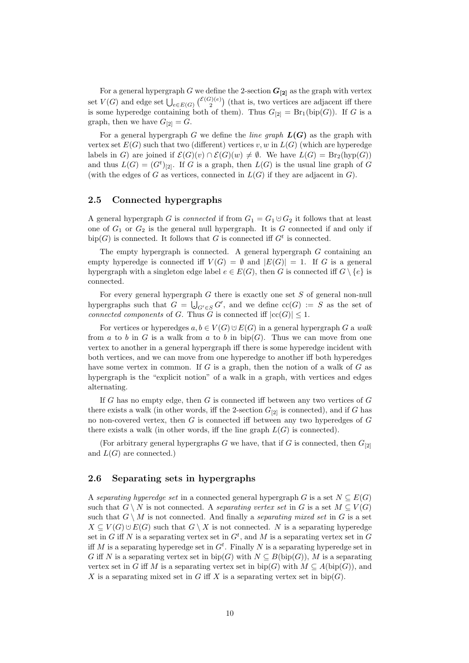For a general hypergraph G we define the 2-section  $G_{[2]}$  as the graph with vertex set  $V(G)$  and edge set  $\bigcup_{e \in E(G)} \binom{\mathcal{E}(G)(e)}{2}$  (that is, two vertices are adjacent iff there is some hyperedge containing both of them). Thus  $G_{[2]} = Br_1(bip(G))$ . If G is a graph, then we have  $G_{[2]} = G$ .

For a general hypergraph G we define the *line graph*  $L(G)$  as the graph with vertex set  $E(G)$  such that two (different) vertices v, w in  $L(G)$  (which are hyperedge labels in G) are joined if  $\mathcal{E}(G)(v) \cap \mathcal{E}(G)(w) \neq \emptyset$ . We have  $L(G) = \text{Br}_2(\text{hyp}(G))$ and thus  $L(G) = (G<sup>t</sup>)<sub>[2]</sub>$ . If G is a graph, then  $L(G)$  is the usual line graph of G (with the edges of G as vertices, connected in  $L(G)$  if they are adjacent in G).

#### 2.5 Connected hypergraphs

A general hypergraph G is *connected* if from  $G_1 = G_1 \cup G_2$  it follows that at least one of  $G_1$  or  $G_2$  is the general null hypergraph. It is  $G$  connected if and only if bip(G) is connected. It follows that G is connected iff  $G<sup>t</sup>$  is connected.

The empty hypergraph is connected. A general hypergraph  $G$  containing an empty hyperedge is connected iff  $V(G) = \emptyset$  and  $|E(G)| = 1$ . If G is a general hypergraph with a singleton edge label  $e \in E(G)$ , then G is connected iff  $G \setminus \{e\}$  is connected.

For every general hypergraph  $G$  there is exactly one set  $S$  of general non-null hypergraphs such that  $G = \bigcup_{G' \in S} G'$ , and we define  $cc(G) := S$  as the set of connected components of G. Thus G is connected iff  $|cc(G)| < 1$ connected components of G. Thus G is connected iff  $|cc(G)| \leq 1$ .

For vertices or hyperedges  $a, b \in V(G) \cup E(G)$  in a general hypergraph G a walk from a to b in G is a walk from a to b in  $\text{bip}(G)$ . Thus we can move from one vertex to another in a general hypergraph iff there is some hyperedge incident with both vertices, and we can move from one hyperedge to another iff both hyperedges have some vertex in common. If  $G$  is a graph, then the notion of a walk of  $G$  as hypergraph is the "explicit notion" of a walk in a graph, with vertices and edges alternating.

If G has no empty edge, then G is connected iff between any two vertices of G there exists a walk (in other words, iff the 2-section  $G_{[2]}$  is connected), and if G has no non-covered vertex, then  $G$  is connected iff between any two hyperedges of  $G$ there exists a walk (in other words, iff the line graph  $L(G)$  is connected).

(For arbitrary general hypergraphs G we have, that if G is connected, then  $G_{[2]}$ ) and  $L(G)$  are connected.)

#### 2.6 Separating sets in hypergraphs

A separating hyperedge set in a connected general hypergraph G is a set  $N \subseteq E(G)$ such that  $G \setminus N$  is not connected. A separating vertex set in G is a set  $M \subseteq V(G)$ such that  $G \setminus M$  is not connected. And finally a *separating mixed set* in G is a set  $X \subseteq V(G) \cup E(G)$  such that  $G \setminus X$  is not connected. N is a separating hyperedge set in G iff N is a separating vertex set in  $G<sup>t</sup>$ , and M is a separating vertex set in G iff M is a separating hyperedge set in  $G<sup>t</sup>$ . Finally N is a separating hyperedge set in G iff N is a separating vertex set in  $\text{bip}(G)$  with  $N \subseteq B(\text{bip}(G)), M$  is a separating vertex set in G iff M is a separating vertex set in  $\text{bip}(G)$  with  $M \subseteq A(\text{bip}(G))$ , and X is a separating mixed set in G iff X is a separating vertex set in bip(G).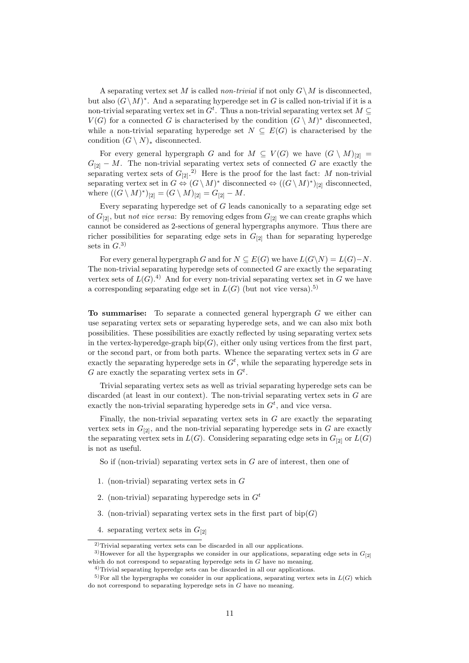A separating vertex set M is called non-trivial if not only  $G\setminus M$  is disconnected, but also  $(G \setminus M)^*$ . And a separating hyperedge set in G is called non-trivial if it is a non-trivial separating vertex set in  $G^t$ . Thus a non-trivial separating vertex set  $M \subseteq$  $V(G)$  for a connected G is characterised by the condition  $(G \setminus M)^*$  disconnected, while a non-trivial separating hyperedge set  $N \subseteq E(G)$  is characterised by the condition  $(G \setminus N)_*$  disconnected.

For every general hypergraph G and for  $M \subseteq V(G)$  we have  $(G \setminus M)_{[2]} =$  $G_{[2]} - M$ . The non-trivial separating vertex sets of connected G are exactly the separating vertex sets of  $G_{[2]}^{2}$ . Here is the proof for the last fact: M non-trivial separating vertex set in  $G \Leftrightarrow (G \setminus M)^*$  disconnected  $\Leftrightarrow ((G \setminus M)^*)_{[2]}$  disconnected, where  $((G \setminus M)^*)_{[2]} = (G \setminus M)_{[2]} = G_{[2]} - M$ .

Every separating hyperedge set of  $G$  leads canonically to a separating edge set of  $G_{[2]}$ , but *not vice versa*: By removing edges from  $G_{[2]}$  we can create graphs which cannot be considered as 2-sections of general hypergraphs anymore. Thus there are richer possibilities for separating edge sets in  $G_{[2]}$  than for separating hyperedge sets in  $G$ <sup>3)</sup>

For every general hypergraph G and for  $N \subseteq E(G)$  we have  $L(G\setminus N) = L(G)-N$ . The non-trivial separating hyperedge sets of connected  $G$  are exactly the separating vertex sets of  $L(G)$ .<sup>4)</sup> And for every non-trivial separating vertex set in G we have a corresponding separating edge set in  $L(G)$  (but not vice versa).<sup>5)</sup>

To summarise: To separate a connected general hypergraph G we either can use separating vertex sets or separating hyperedge sets, and we can also mix both possibilities. These possibilities are exactly reflected by using separating vertex sets in the vertex-hyperedge-graph  $\text{bip}(G)$ , either only using vertices from the first part, or the second part, or from both parts. Whence the separating vertex sets in  $G$  are exactly the separating hyperedge sets in  $G<sup>t</sup>$ , while the separating hyperedge sets in G are exactly the separating vertex sets in  $G^t$ .

Trivial separating vertex sets as well as trivial separating hyperedge sets can be discarded (at least in our context). The non-trivial separating vertex sets in  $G$  are exactly the non-trivial separating hyperedge sets in  $G<sup>t</sup>$ , and vice versa.

Finally, the non-trivial separating vertex sets in  $G$  are exactly the separating vertex sets in  $G_{[2]}$ , and the non-trivial separating hyperedge sets in G are exactly the separating vertex sets in  $L(G)$ . Considering separating edge sets in  $G_{[2]}$  or  $L(G)$ is not as useful.

So if (non-trivial) separating vertex sets in  $G$  are of interest, then one of

- 1. (non-trivial) separating vertex sets in G
- 2. (non-trivial) separating hyperedge sets in  $G<sup>t</sup>$
- 3. (non-trivial) separating vertex sets in the first part of  $bip(G)$
- 4. separating vertex sets in  $G_{[2]}$

<sup>&</sup>lt;sup>2)</sup>Trivial separating vertex sets can be discarded in all our applications.

<sup>&</sup>lt;sup>3)</sup>However for all the hypergraphs we consider in our applications, separating edge sets in  $G_{[2]}$ which do not correspond to separating hyperedge sets in  $G$  have no meaning.

<sup>&</sup>lt;sup>4)</sup>Trivial separating hyperedge sets can be discarded in all our applications.

 $5$  For all the hypergraphs we consider in our applications, separating vertex sets in  $L(G)$  which do not correspond to separating hyperedge sets in G have no meaning.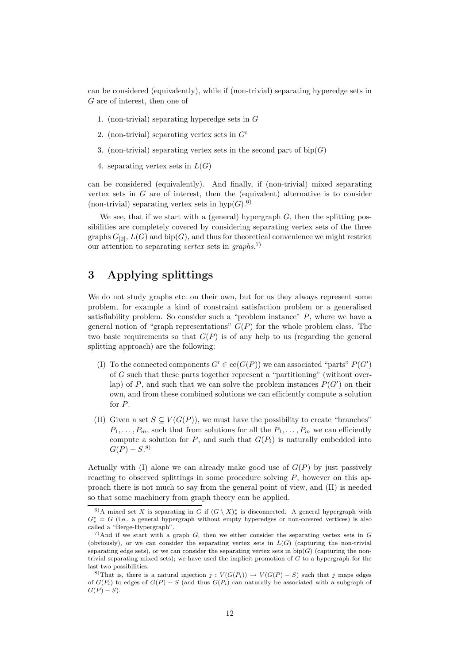can be considered (equivalently), while if (non-trivial) separating hyperedge sets in G are of interest, then one of

- 1. (non-trivial) separating hyperedge sets in G
- 2. (non-trivial) separating vertex sets in  $G<sup>t</sup>$
- 3. (non-trivial) separating vertex sets in the second part of  $bip(G)$
- 4. separating vertex sets in  $L(G)$

can be considered (equivalently). And finally, if (non-trivial) mixed separating vertex sets in  $G$  are of interest, then the (equivalent) alternative is to consider (non-trivial) separating vertex sets in  $hyp(G)$ .<sup>6)</sup>

We see, that if we start with a (general) hypergraph  $G$ , then the splitting possibilities are completely covered by considering separating vertex sets of the three graphs  $G_{[2]}$ ,  $L(G)$  and bip(G), and thus for theoretical convenience we might restrict our attention to separating vertex sets in graphs.<sup>7)</sup>

# 3 Applying splittings

We do not study graphs etc. on their own, but for us they always represent some problem, for example a kind of constraint satisfaction problem or a generalised satisfiability problem. So consider such a "problem instance"  $P$ , where we have a general notion of "graph representations"  $G(P)$  for the whole problem class. The two basic requirements so that  $G(P)$  is of any help to us (regarding the general splitting approach) are the following:

- (I) To the connected components  $G' \in \text{cc}(G(P))$  we can associated "parts"  $P(G')$ of G such that these parts together represent a "partitioning" (without overlap) of  $P$ , and such that we can solve the problem instances  $P(G')$  on their own, and from these combined solutions we can efficiently compute a solution for P.
- (II) Given a set  $S \subseteq V(G(P))$ , we must have the possibility to create "branches"  $P_1, \ldots, P_m$ , such that from solutions for all the  $P_1, \ldots, P_m$  we can efficiently compute a solution for P, and such that  $G(P_i)$  is naturally embedded into  $G(P) - S^{(8)}$

Actually with  $(I)$  alone we can already make good use of  $G(P)$  by just passively reacting to observed splittings in some procedure solving  $P$ , however on this approach there is not much to say from the general point of view, and (II) is needed so that some machinery from graph theory can be applied.

 $6)$ A mixed set X is separating in G if  $(G \setminus X)^*$  is disconnected. A general hypergraph with  $G_*^* = G$  (i.e., a general hypergraph without empty hyperedges or non-covered vertices) is also called a "Berge-Hypergraph".

<sup>&</sup>lt;sup>7</sup>)And if we start with a graph G, then we either consider the separating vertex sets in G (obviously), or we can consider the separating vertex sets in  $L(G)$  (capturing the non-trivial separating edge sets), or we can consider the separating vertex sets in  $\text{bip}(G)$  (capturing the nontrivial separating mixed sets); we have used the implicit promotion of G to a hypergraph for the last two possibilities.

<sup>8)</sup>That is, there is a natural injection  $j : V(G(P_i)) \to V(G(P) - S)$  such that j maps edges of  $G(P_i)$  to edges of  $G(P) - S$  (and thus  $G(P_i)$  can naturally be associated with a subgraph of  $G(P) - S$ ).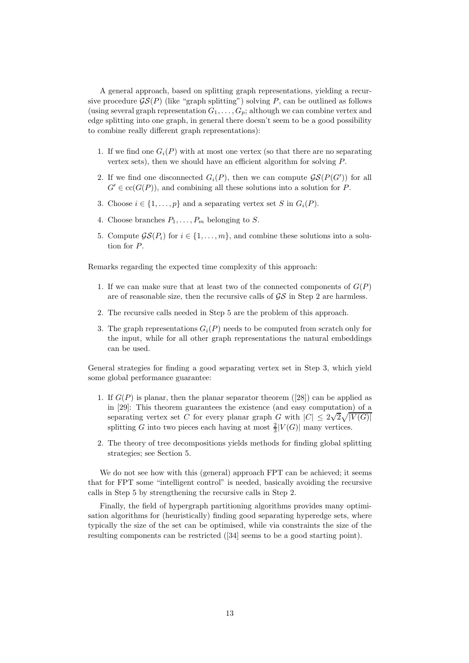A general approach, based on splitting graph representations, yielding a recursive procedure  $\mathcal{G}(\mathcal{S}(P))$  (like "graph splitting") solving P, can be outlined as follows (using several graph representation  $G_1, \ldots, G_p$ ; although we can combine vertex and edge splitting into one graph, in general there doesn't seem to be a good possibility to combine really different graph representations):

- 1. If we find one  $G_i(P)$  with at most one vertex (so that there are no separating vertex sets), then we should have an efficient algorithm for solving P.
- 2. If we find one disconnected  $G_i(P)$ , then we can compute  $\mathcal{GS}(P(G'))$  for all  $G' \in \text{cc}(G(P))$ , and combining all these solutions into a solution for P.
- 3. Choose  $i \in \{1, \ldots, p\}$  and a separating vertex set S in  $G_i(P)$ .
- 4. Choose branches  $P_1, \ldots, P_m$  belonging to S.
- 5. Compute  $\mathcal{GS}(P_i)$  for  $i \in \{1, \ldots, m\}$ , and combine these solutions into a solution for P.

Remarks regarding the expected time complexity of this approach:

- 1. If we can make sure that at least two of the connected components of  $G(P)$ are of reasonable size, then the recursive calls of  $\mathcal{GS}$  in Step 2 are harmless.
- 2. The recursive calls needed in Step 5 are the problem of this approach.
- 3. The graph representations  $G_i(P)$  needs to be computed from scratch only for the input, while for all other graph representations the natural embeddings can be used.

General strategies for finding a good separating vertex set in Step 3, which yield some global performance guarantee:

- 1. If  $G(P)$  is planar, then the planar separator theorem ([28]) can be applied as in [29]: This theorem guarantees the existence (and easy computation) of a separating vertex set C for every planar graph G with  $|C| \leq 2\sqrt{2}\sqrt{|V(G)|}$ splitting G into two pieces each having at most  $\frac{2}{3}|V(G)|$  many vertices.
- 2. The theory of tree decompositions yields methods for finding global splitting strategies; see Section 5.

We do not see how with this (general) approach FPT can be achieved; it seems that for FPT some "intelligent control" is needed, basically avoiding the recursive calls in Step 5 by strengthening the recursive calls in Step 2.

Finally, the field of hypergraph partitioning algorithms provides many optimisation algorithms for (heuristically) finding good separating hyperedge sets, where typically the size of the set can be optimised, while via constraints the size of the resulting components can be restricted ([34] seems to be a good starting point).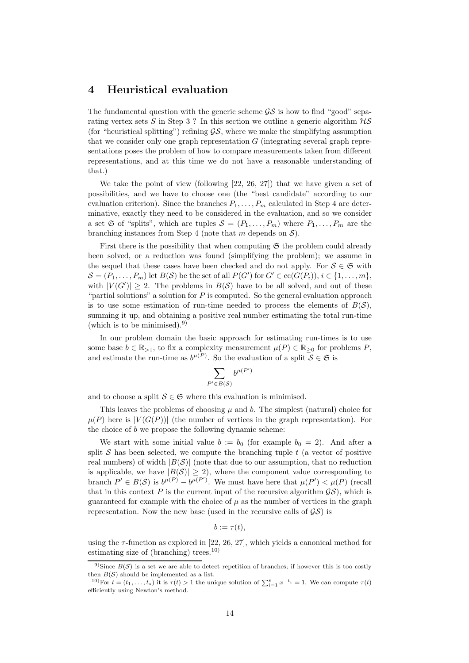## 4 Heuristical evaluation

The fundamental question with the generic scheme  $\mathcal{GS}$  is how to find "good" separating vertex sets S in Step 3 ? In this section we outline a generic algorithm  $\mathcal{H}\mathcal{S}$ (for "heuristical splitting") refining  $\mathcal{GS}$ , where we make the simplifying assumption that we consider only one graph representation  $G$  (integrating several graph representations poses the problem of how to compare measurements taken from different representations, and at this time we do not have a reasonable understanding of that.)

We take the point of view (following [22, 26, 27]) that we have given a set of possibilities, and we have to choose one (the "best candidate" according to our evaluation criterion). Since the branches  $P_1, \ldots, P_m$  calculated in Step 4 are determinative, exactly they need to be considered in the evaluation, and so we consider a set G of "splits", which are tuples  $S = (P_1, \ldots, P_m)$  where  $P_1, \ldots, P_m$  are the branching instances from Step 4 (note that m depends on  $S$ ).

First there is the possibility that when computing  $\mathfrak S$  the problem could already been solved, or a reduction was found (simplifying the problem); we assume in the sequel that these cases have been checked and do not apply. For  $S \in \mathfrak{S}$  with  $S = (P_1, \ldots, P_m)$  let  $B(S)$  be the set of all  $P(G')$  for  $G' \in \text{cc}(G(P_i)), i \in \{1, \ldots, m\},$ with  $|V(G')| \geq 2$ . The problems in  $B(S)$  have to be all solved, and out of these "partial solutions" a solution for  $P$  is computed. So the general evaluation approach is to use some estimation of run-time needed to process the elements of  $B(S)$ , summing it up, and obtaining a positive real number estimating the total run-time (which is to be minimised).  $9$ )

In our problem domain the basic approach for estimating run-times is to use some base  $b \in \mathbb{R}_{>1}$ , to fix a complexity measurement  $\mu(P) \in \mathbb{R}_{\geq 0}$  for problems P, and estimate the run-time as  $b^{\mu(P)}$ . So the evaluation of a split  $S \in \mathfrak{S}$  is

$$
\sum_{P' \in B(\mathcal{S})} b^{\mu(P')}
$$

and to choose a split  $S \in \mathfrak{S}$  where this evaluation is minimised.

This leaves the problems of choosing  $\mu$  and b. The simplest (natural) choice for  $\mu(P)$  here is  $|V(G(P))|$  (the number of vertices in the graph representation). For the choice of  $b$  we propose the following dynamic scheme:

We start with some initial value  $b := b_0$  (for example  $b_0 = 2$ ). And after a split  $S$  has been selected, we compute the branching tuple  $t$  (a vector of positive real numbers) of width  $|B(S)|$  (note that due to our assumption, that no reduction is applicable, we have  $|B(S)| \geq 2$ , where the component value corresponding to branch  $P' \in B(S)$  is  $b^{\mu(P)} - b^{\mu(P')}$ . We must have here that  $\mu(P') < \mu(P)$  (recall that in this context P is the current input of the recursive algorithm  $\mathcal{GS}$ ), which is guaranteed for example with the choice of  $\mu$  as the number of vertices in the graph representation. Now the new base (used in the recursive calls of  $\mathcal{GS}$ ) is

$$
b:=\tau(t),
$$

using the  $\tau$ -function as explored in [22, 26, 27], which yields a canonical method for estimating size of (branching) trees.<sup>10)</sup>

<sup>&</sup>lt;sup>9)</sup>Since  $B(S)$  is a set we are able to detect repetition of branches; if however this is too costly then  $B(S)$  should be implemented as a list.

<sup>&</sup>lt;sup>10</sup>)For  $t = (t_1, \ldots, t_s)$  it is  $\tau(t) > 1$  the unique solution of  $\sum_{i=1}^s x^{-t_i} = 1$ . We can compute  $\tau(t)$ efficiently using Newton's method.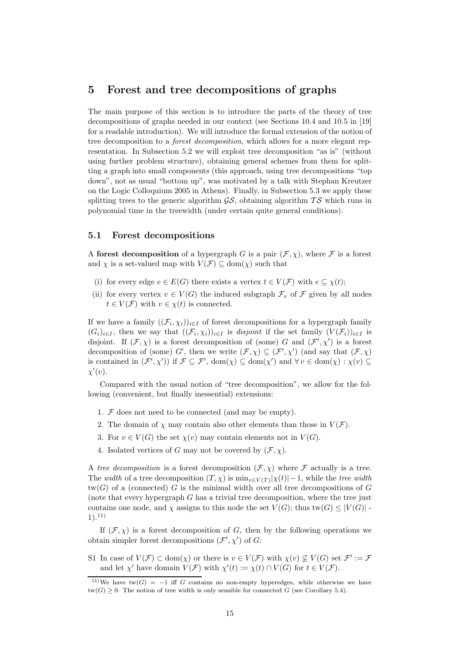## 5 Forest and tree decompositions of graphs

The main purpose of this section is to introduce the parts of the theory of tree decompositions of graphs needed in our context (see Sections 10.4 and 10.5 in [19] for a readable introduction). We will introduce the formal extension of the notion of tree decomposition to a forest decomposition, which allows for a more elegant representation. In Subsection 5.2 we will exploit tree decomposition "as is" (without using further problem structure), obtaining general schemes from them for splitting a graph into small components (this approach, using tree decompositions "top down", not as usual "bottom up", was motivated by a talk with Stephan Kreutzer on the Logic Colloquium 2005 in Athens). Finally, in Subsection 5.3 we apply these splitting trees to the generic algorithm  $\mathcal{GS}$ , obtaining algorithm  $\mathcal{TS}$  which runs in polynomial time in the treewidth (under certain quite general conditions).

#### 5.1 Forest decompositions

A forest decomposition of a hypergraph G is a pair  $(\mathcal{F}, \chi)$ , where  $\mathcal F$  is a forest and  $\chi$  is a set-valued map with  $V(\mathcal{F}) \subseteq \text{dom}(\chi)$  such that

- (i) for every edge  $e \in E(G)$  there exists a vertex  $t \in V(\mathcal{F})$  with  $e \subset \chi(t)$ ;
- (ii) for every vertex  $v \in V(G)$  the induced subgraph  $\mathcal{F}_v$  of  $\mathcal F$  given by all nodes  $t \in V(\mathcal{F})$  with  $v \in \chi(t)$  is connected.

If we have a family  $((\mathcal{F}_i, \chi_i))_{i \in I}$  of forest decompositions for a hypergraph family  $(G_i)_{i\in I}$ , then we say that  $((\mathcal{F}_i,\chi_i))_{i\in I}$  is *disjoint* if the set family  $(V(\mathcal{F}_i))_{i\in I}$  is disjoint. If  $(\mathcal{F}, \chi)$  is a forest decomposition of (some) G and  $(\mathcal{F}', \chi')$  is a forest decomposition of (some) G', then we write  $(\mathcal{F}, \chi) \subseteq (\mathcal{F}', \chi')$  (and say that  $(\mathcal{F}, \chi)$ ) is contained in  $(\mathcal{F}', \chi')$  if  $\mathcal{F} \subseteq \mathcal{F}'$ ,  $dom(\chi) \subseteq dom(\chi')$  and  $\forall v \in dom(\chi) : \chi(v) \subseteq$  $\chi'(v)$ .

Compared with the usual notion of "tree decomposition", we allow for the following (convenient, but finally inessential) extensions:

- 1.  $F$  does not need to be connected (and may be empty).
- 2. The domain of  $\chi$  may contain also other elements than those in  $V(\mathcal{F})$ .
- 3. For  $v \in V(G)$  the set  $\chi(v)$  may contain elements not in  $V(G)$ .
- 4. Isolated vertices of G may not be covered by  $(\mathcal{F}, \chi)$ .

A tree decomposition is a forest decomposition  $(\mathcal{F}, \chi)$  where  $\mathcal F$  actually is a tree. The *width* of a tree decomposition  $(T, \chi)$  is  $\min_{v \in V(T)} |\chi(t)| - 1$ , while the tree width  $tw(G)$  of a (connected) G is the minimal width over all tree decompositions of G (note that every hypergraph  $G$  has a trivial tree decomposition, where the tree just contains one node, and  $\chi$  assigns to this node the set  $V(G)$ ; thus tw(G)  $\leq |V(G)|$  - $(1).^{11}$ 

If  $(\mathcal{F}, \chi)$  is a forest decomposition of G, then by the following operations we obtain simpler forest decompositions  $(\mathcal{F}', \chi')$  of  $G$ :

S1 In case of  $V(\mathcal{F}) \subset \text{dom}(\chi)$  or there is  $v \in V(\mathcal{F})$  with  $\chi(v) \not\subseteq V(G)$  set  $\mathcal{F}' := \mathcal{F}$ and let  $\chi'$  have domain  $V(\mathcal{F})$  with  $\chi'(t) := \chi(t) \cap V(G)$  for  $t \in V(\mathcal{F})$ .

<sup>&</sup>lt;sup>11)</sup>We have tw(G) = -1 iff G contains no non-empty hyperedges, while otherwise we have  $tw(G) \geq 0$ . The notion of tree width is only sensible for connected G (see Corollary 5.4).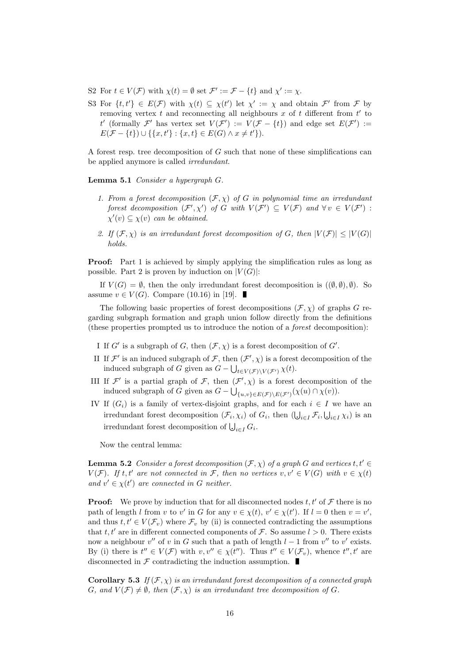- S2 For  $t \in V(\mathcal{F})$  with  $\chi(t) = \emptyset$  set  $\mathcal{F}' := \mathcal{F} \{t\}$  and  $\chi' := \chi$ .
- S3 For  $\{t, t'\} \in E(\mathcal{F})$  with  $\chi(t) \subseteq \chi(t')$  let  $\chi' := \chi$  and obtain  $\mathcal{F}'$  from  $\mathcal{F}$  by removing vertex  $t$  and reconnecting all neighbours  $x$  of  $t$  different from  $t'$  to t' (formally  $\mathcal{F}'$  has vertex set  $V(\mathcal{F}') := V(\mathcal{F} - \{t\})$  and edge set  $E(\mathcal{F}') :=$  $E(\mathcal{F} - \{t\}) \cup \{\{x, t'\} : \{x, t\} \in E(G) \land x \neq t'\}).$

A forest resp. tree decomposition of G such that none of these simplifications can be applied anymore is called irredundant.

Lemma 5.1 Consider a hypergraph G.

- 1. From a forest decomposition  $(\mathcal{F}, \chi)$  of G in polynomial time an irredundant forest decomposition  $(\mathcal{F}', \chi')$  of G with  $V(\mathcal{F}') \subseteq V(\mathcal{F})$  and  $\forall v \in V(\mathcal{F}')$ :  $\chi'(v) \subseteq \chi(v)$  can be obtained.
- 2. If  $(\mathcal{F}, \chi)$  is an irredundant forest decomposition of G, then  $|V(\mathcal{F})| \leq |V(G)|$ holds.

Proof: Part 1 is achieved by simply applying the simplification rules as long as possible. Part 2 is proven by induction on  $|V(G)|$ :

If  $V(G) = \emptyset$ , then the only irredundant forest decomposition is  $((\emptyset, \emptyset), \emptyset)$ . So assume  $v \in V(G)$ . Compare (10.16) in [19]. ■

The following basic properties of forest decompositions  $(\mathcal{F}, \chi)$  of graphs G regarding subgraph formation and graph union follow directly from the definitions (these properties prompted us to introduce the notion of a forest decomposition):

- I If  $G'$  is a subgraph of  $G$ , then  $(\mathcal{F}, \chi)$  is a forest decomposition of  $G'$ .
- II If  $\mathcal{F}'$  is an induced subgraph of  $\mathcal{F}$ , then  $(\mathcal{F}', \chi)$  is a forest decomposition of the induced subgraph of G given as  $G - \bigcup_{t \in V(\mathcal{F}) \setminus V(\mathcal{F}')} \chi(t)$ .
- III If  $\mathcal{F}'$  is a partial graph of  $\mathcal{F}$ , then  $(\mathcal{F}', \chi)$  is a forest decomposition of the induced subgraph of G given as  $G - \bigcup_{\{u,v\} \in E(\mathcal{F}) \backslash E(\mathcal{F}')} (\chi(u) \cap \chi(v)).$
- IV If  $(G_i)$  is a family of vertex-disjoint graphs, and for each  $i \in I$  we have an irredundant forest decomposition  $(\mathcal{F}_i, \chi_i)$  of  $G_i$ , then  $(\bigcup_{i \in I} \mathcal{F}_i, \bigcup_{i \in I} \chi_i)$  is an irredundant forest decomposition of  $\bigcup_{i \in I} G_i$ .

Now the central lemma:

**Lemma 5.2** Consider a forest decomposition  $(\mathcal{F}, \chi)$  of a graph G and vertices  $t, t' \in$  $V(\mathcal{F})$ . If t, t' are not connected in F, then no vertices  $v, v' \in V(G)$  with  $v \in \chi(t)$ and  $v' \in \chi(t')$  are connected in G neither.

**Proof:** We prove by induction that for all disconnected nodes  $t, t'$  of  $\mathcal F$  there is no path of length l from v to v' in G for any  $v \in \chi(t)$ ,  $v' \in \chi(t')$ . If  $l = 0$  then  $v = v'$ , and thus  $t, t' \in V(\mathcal{F}_v)$  where  $\mathcal{F}_v$  by (ii) is connected contradicting the assumptions that t, t' are in different connected components of F. So assume  $l > 0$ . There exists now a neighbour  $v''$  of v in G such that a path of length  $l-1$  from  $v''$  to  $v'$  exists. By (i) there is  $t'' \in V(\mathcal{F})$  with  $v, v'' \in \chi(t'')$ . Thus  $t'' \in V(\mathcal{F}_v)$ , whence  $t'', t'$  are disconnected in  $\mathcal F$  contradicting the induction assumption.

**Corollary 5.3** If  $(\mathcal{F}, \chi)$  is an irredundant forest decomposition of a connected graph G, and  $V(\mathcal{F}) \neq \emptyset$ , then  $(\mathcal{F}, \chi)$  is an irredundant tree decomposition of G.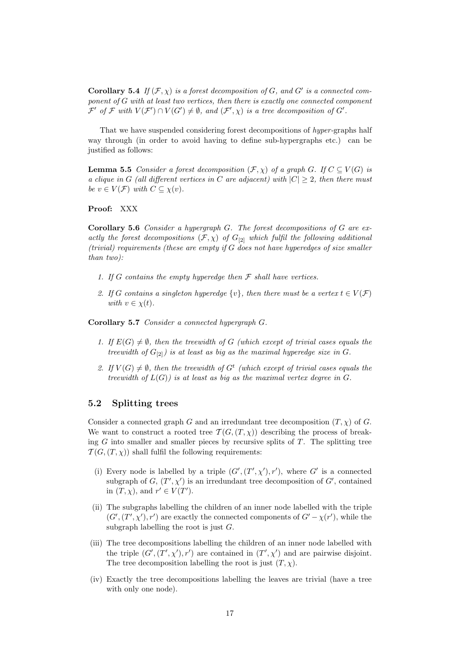**Corollary 5.4** If  $(\mathcal{F}, \chi)$  is a forest decomposition of G, and G' is a connected component of G with at least two vertices, then there is exactly one connected component  $\mathcal{F}'$  of  $\mathcal{F}$  with  $V(\mathcal{F}') \cap V(G') \neq \emptyset$ , and  $(\mathcal{F}', \chi)$  is a tree decomposition of  $G'$ .

That we have suspended considering forest decompositions of hyper-graphs half way through (in order to avoid having to define sub-hypergraphs etc.) can be justified as follows:

**Lemma 5.5** Consider a forest decomposition  $(\mathcal{F}, \chi)$  of a graph G. If  $C \subset V(G)$  is a clique in G (all different vertices in C are adjacent) with  $|C| \geq 2$ , then there must be  $v \in V(\mathcal{F})$  with  $C \subseteq \chi(v)$ .

#### Proof: XXX

**Corollary 5.6** Consider a hypergraph G. The forest decompositions of G are exactly the forest decompositions  $(\mathcal{F}, \chi)$  of  $G_{[2]}$  which fulfil the following additional  $(trivial)$  requirements (these are empty if  $G$  does not have hyperedges of size smaller than two):

- 1. If G contains the empty hyperedge then  $\mathcal F$  shall have vertices.
- 2. If G contains a singleton hyperedge  $\{v\}$ , then there must be a vertex  $t \in V(\mathcal{F})$ with  $v \in \chi(t)$ .

Corollary 5.7 Consider a connected hypergraph G.

- 1. If  $E(G) \neq \emptyset$ , then the treewidth of G (which except of trivial cases equals the treewidth of  $G_{[2]}$ ) is at least as big as the maximal hyperedge size in G.
- 2. If  $V(G) \neq \emptyset$ , then the treewidth of  $G^t$  (which except of trivial cases equals the treewidth of  $L(G)$ ) is at least as big as the maximal vertex degree in G.

#### 5.2 Splitting trees

Consider a connected graph G and an irredundant tree decomposition  $(T, \chi)$  of G. We want to construct a rooted tree  $\mathcal{T}(G,(T,\chi))$  describing the process of breaking  $G$  into smaller and smaller pieces by recursive splits of  $T$ . The splitting tree  $\mathcal{T}(G,(T,\chi))$  shall fulfil the following requirements:

- (i) Every node is labelled by a triple  $(G', (T', \chi'), r')$ , where G' is a connected subgraph of  $G, (T', \chi')$  is an irredundant tree decomposition of  $G'$ , contained in  $(T, \chi)$ , and  $r' \in V(T')$ .
- (ii) The subgraphs labelling the children of an inner node labelled with the triple  $(G', (T', \chi'), r')$  are exactly the connected components of  $G' - \chi(r')$ , while the subgraph labelling the root is just  $G$ .
- (iii) The tree decompositions labelling the children of an inner node labelled with the triple  $(G', (T', \chi'), r')$  are contained in  $(T', \chi')$  and are pairwise disjoint. The tree decomposition labelling the root is just  $(T, \chi)$ .
- (iv) Exactly the tree decompositions labelling the leaves are trivial (have a tree with only one node).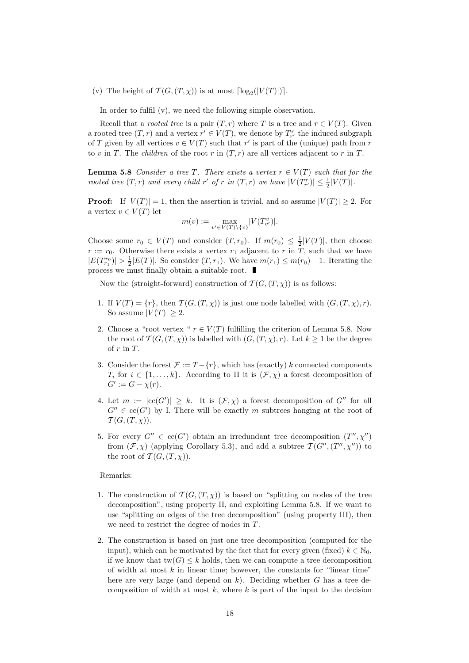(v) The height of  $\mathcal{T}(G,(T,\chi))$  is at most  $\lceil \log_2(|V(T)|) \rceil$ .

In order to fulfil  $(v)$ , we need the following simple observation.

Recall that a *rooted tree* is a pair  $(T, r)$  where T is a tree and  $r \in V(T)$ . Given a rooted tree  $(T, r)$  and a vertex  $r' \in V(T)$ , we denote by  $T_{r'}^r$  the induced subgraph of T given by all vertices  $v \in V(T)$  such that  $r'$  is part of the (unique) path from  $r$ to v in T. The *children* of the root r in  $(T, r)$  are all vertices adjacent to r in T.

**Lemma 5.8** Consider a tree T. There exists a vertex  $r \in V(T)$  such that for the rooted tree  $(T,r)$  and every child r' of r in  $(T,r)$  we have  $|V(T^r_{r'})| \leq \frac{1}{2}|V(T)|$ .

**Proof:** If  $|V(T)| = 1$ , then the assertion is trivial, and so assume  $|V(T)| \ge 2$ . For a vertex  $v \in V(T)$  let

$$
m(v) := \max_{v' \in V(T) \setminus \{v\}} |V(T_{v'}^v)|.
$$

Choose some  $r_0 \in V(T)$  and consider  $(T, r_0)$ . If  $m(r_0) \leq \frac{1}{2}|V(T)|$ , then choose  $r := r_0$ . Otherwise there exists a vertex  $r_1$  adjacent to r in T, such that we have  $|E(T_{r_1}^{r_0})| > \frac{1}{2}|E(T)|$ . So consider  $(T, r_1)$ . We have  $m(r_1) \leq m(r_0) - 1$ . Iterating the process we must finally obtain a suitable root.

Now the (straight-forward) construction of  $\mathcal{T}(G,(T,\chi))$  is as follows:

- 1. If  $V(T) = \{r\}$ , then  $\mathcal{T}(G,(T,\chi))$  is just one node labelled with  $(G,(T,\chi),r)$ . So assume  $|V(T)| \geq 2$ .
- 2. Choose a "root vertex "  $r \in V(T)$  fulfilling the criterion of Lemma 5.8. Now the root of  $\mathcal{T}(G,(T,\chi))$  is labelled with  $(G,(T,\chi), r)$ . Let  $k \geq 1$  be the degree of  $r$  in  $T$ .
- 3. Consider the forest  $\mathcal{F} := T \{r\}$ , which has (exactly) k connected components  $T_i$  for  $i \in \{1, ..., k\}$ . According to II it is  $(\mathcal{F}, \chi)$  a forest decomposition of  $G' := G - \chi(r).$
- 4. Let  $m := |cc(G')| \geq k$ . It is  $(\mathcal{F}, \chi)$  a forest decomposition of G'' for all  $G'' \in \text{cc}(G')$  by I. There will be exactly m subtrees hanging at the root of  $\mathcal{T}(G,(T,\chi)).$
- 5. For every  $G'' \in \text{cc}(G')$  obtain an irredundant tree decomposition  $(T'', \chi'')$ from  $(\mathcal{F}, \chi)$  (applying Corollary 5.3), and add a subtree  $\mathcal{T}(G'', (T'', \chi''))$  to the root of  $\mathcal{T}(G,(T,\chi))$ .

#### Remarks:

- 1. The construction of  $\mathcal{T}(G,(T,\chi))$  is based on "splitting on nodes of the tree decomposition", using property II, and exploiting Lemma 5.8. If we want to use "splitting on edges of the tree decomposition" (using property III), then we need to restrict the degree of nodes in  $T$ .
- 2. The construction is based on just one tree decomposition (computed for the input), which can be motivated by the fact that for every given (fixed)  $k \in \mathbb{N}_0$ , if we know that  $tw(G) \leq k$  holds, then we can compute a tree decomposition of width at most  $k$  in linear time; however, the constants for "linear time" here are very large (and depend on  $k$ ). Deciding whether G has a tree decomposition of width at most  $k$ , where  $k$  is part of the input to the decision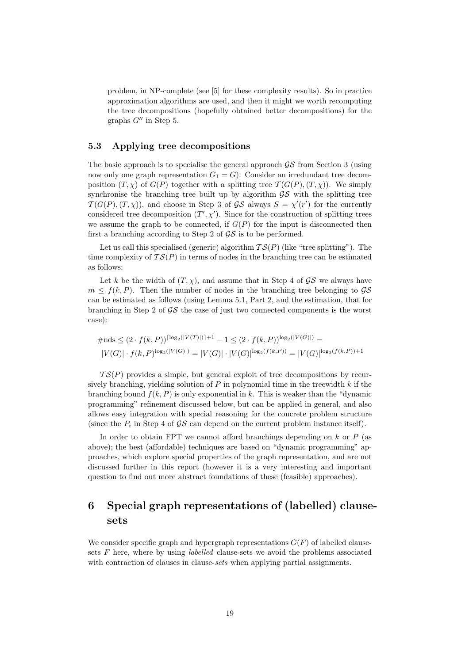problem, in NP-complete (see [5] for these complexity results). So in practice approximation algorithms are used, and then it might we worth recomputing the tree decompositions (hopefully obtained better decompositions) for the graphs  $G''$  in Step 5.

### 5.3 Applying tree decompositions

The basic approach is to specialise the general approach  $\mathcal{G}\mathcal{S}$  from Section 3 (using now only one graph representation  $G_1 = G$ . Consider an irredundant tree decomposition  $(T, \chi)$  of  $G(P)$  together with a splitting tree  $\mathcal{T}(G(P), (T, \chi))$ . We simply synchronise the branching tree built up by algorithm  $\mathcal{GS}$  with the splitting tree  $T(G(P), (T, \chi))$ , and choose in Step 3 of GS always  $S = \chi'(r')$  for the currently considered tree decomposition  $(T', \chi')$ . Since for the construction of splitting trees we assume the graph to be connected, if  $G(P)$  for the input is disconnected then first a branching according to Step 2 of  $\mathcal{GS}$  is to be performed.

Let us call this specialised (generic) algorithm  $TS(P)$  (like "tree splitting"). The time complexity of  $TS(P)$  in terms of nodes in the branching tree can be estimated as follows:

Let k be the width of  $(T, \chi)$ , and assume that in Step 4 of  $\mathcal{GS}$  we always have  $m \leq f(k, P)$ . Then the number of nodes in the branching tree belonging to  $\mathcal{GS}$ can be estimated as follows (using Lemma 5.1, Part 2, and the estimation, that for branching in Step 2 of  $\mathcal{G}\mathcal{S}$  the case of just two connected components is the worst case):

$$
\#nds \le (2 \cdot f(k, P))^{\lceil \log_2(|V(T)|) \rceil + 1} - 1 \le (2 \cdot f(k, P))^{\log_2(|V(G)|)} = |V(G)| \cdot f(k, P)^{\log_2(|V(G)|)} = |V(G)| \cdot |V(G)|^{\log_2(f(k, P))} = |V(G)|^{\log_2(f(k, P)) + 1}
$$

 $TS(P)$  provides a simple, but general exploit of tree decompositions by recursively branching, yielding solution of  $P$  in polynomial time in the treewidth  $k$  if the branching bound  $f(k, P)$  is only exponential in k. This is weaker than the "dynamic programming" refinement discussed below, but can be applied in general, and also allows easy integration with special reasoning for the concrete problem structure (since the  $P_i$  in Step 4 of  $\mathcal{GS}$  can depend on the current problem instance itself).

In order to obtain FPT we cannot afford branchings depending on  $k$  or  $P$  (as above); the best (affordable) techniques are based on "dynamic programming" approaches, which explore special properties of the graph representation, and are not discussed further in this report (however it is a very interesting and important question to find out more abstract foundations of these (feasible) approaches).

# 6 Special graph representations of (labelled) clausesets

We consider specific graph and hypergraph representations  $G(F)$  of labelled clausesets F here, where by using *labelled* clause-sets we avoid the problems associated with contraction of clauses in clause-sets when applying partial assignments.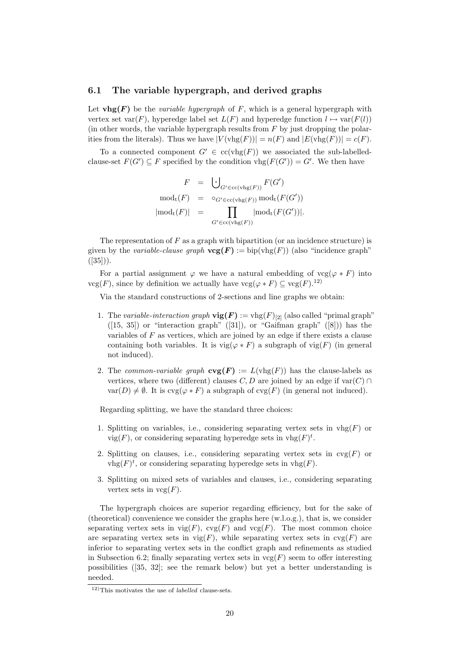#### 6.1 The variable hypergraph, and derived graphs

Let  $\mathbf{vhg}(F)$  be the *variable hypergraph* of F, which is a general hypergraph with vertex set var $(F)$ , hyperedge label set  $L(F)$  and hyperedge function  $l \mapsto \text{var}(F(l))$ (in other words, the variable hypergraph results from  $F$  by just dropping the polarities from the literals). Thus we have  $|V(\text{vhg}(F))| = n(F)$  and  $|E(\text{vhg}(F))| = c(F)$ .

To a connected component  $G' \in \operatorname{cc}(vhg(F))$  we associated the sub-labelledclause-set  $F(G') \subseteq F$  specified by the condition  $\text{vhg}(F(G')) = G'$ . We then have

$$
F = \bigcup_{G' \in \text{cc}(\text{vhg}(F))} F(G')
$$
  

$$
\text{mod}_{\text{t}}(F) = \circ_{G' \in \text{cc}(\text{vhg}(F))} \text{mod}_{\text{t}}(F(G'))
$$
  

$$
|\text{mod}_{\text{t}}(F)| = \prod_{G' \in \text{cc}(\text{vhg}(F))} |\text{mod}_{\text{t}}(F(G'))|.
$$

The representation of  $F$  as a graph with bipartition (or an incidence structure) is given by the variable-clause graph  $\mathbf{vcg}(F) := \text{bip}(\text{vhg}(F))$  (also "incidence graph")  $([35])$ ).

For a partial assignment  $\varphi$  we have a natural embedding of  $\text{vec}(\varphi * F)$  into  $vcg(F)$ , since by definition we actually have  $vcg(\varphi * F) \subseteq vcg(F)$ .<sup>12)</sup>

Via the standard constructions of 2-sections and line graphs we obtain:

- 1. The variable-interaction graph  $\mathbf{vig}(F) := \text{vhg}(F)_{[2]}$  (also called "primal graph"  $([15, 35])$  or "interaction graph"  $([31])$ , or "Gaifman graph"  $([8])$  has the variables of  $F$  as vertices, which are joined by an edge if there exists a clause containing both variables. It is  $\text{vig}(\varphi * F)$  a subgraph of  $\text{vig}(F)$  (in general not induced).
- 2. The common-variable graph  $\mathbf{cvg}(F) := L(\text{vhg}(F))$  has the clause-labels as vertices, where two (different) clauses  $C, D$  are joined by an edge if var $(C) \cap$  $var(D) \neq \emptyset$ . It is  $evg(\varphi * F)$  a subgraph of  $evg(F)$  (in general not induced).

Regarding splitting, we have the standard three choices:

- 1. Splitting on variables, i.e., considering separating vertex sets in  $\text{vhg}(F)$  or  $\text{vig}(F)$ , or considering separating hyperedge sets in  $\text{vhg}(F)^t$ .
- 2. Splitting on clauses, i.e., considering separating vertex sets in  $\text{cvg}(F)$  or  $\text{vhg}(F)^t$ , or considering separating hyperedge sets in  $\text{vhg}(F)$ .
- 3. Splitting on mixed sets of variables and clauses, i.e., considering separating vertex sets in  $vcg(F)$ .

The hypergraph choices are superior regarding efficiency, but for the sake of (theoretical) convenience we consider the graphs here (w.l.o.g.), that is, we consider separating vertex sets in  $\text{vig}(F)$ ,  $\text{cvg}(F)$  and  $\text{vcg}(F)$ . The most common choice are separating vertex sets in  $\text{vig}(F)$ , while separating vertex sets in  $\text{cy}(F)$  are inferior to separating vertex sets in the conflict graph and refinements as studied in Subsection 6.2; finally separating vertex sets in  $vcg(F)$  seem to offer interesting possibilities ([35, 32]; see the remark below) but yet a better understanding is needed.

 $12)$ This motivates the use of *labelled* clause-sets.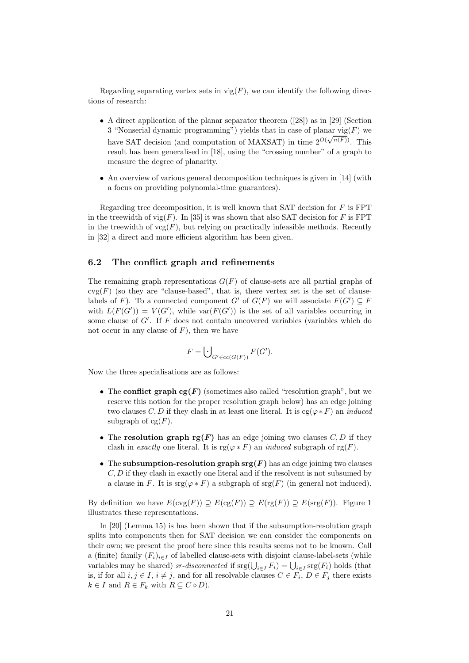Regarding separating vertex sets in  $\text{vig}(F)$ , we can identify the following directions of research:

- A direct application of the planar separator theorem ([28]) as in [29] (Section 3 "Nonserial dynamic programming") yields that in case of planar  $\text{vig}(F)$  we have SAT decision (and computation of MAXSAT) in time  $2^{O(\sqrt{n(F)})}$ . This result has been generalised in [18], using the "crossing number" of a graph to measure the degree of planarity.
- An overview of various general decomposition techniques is given in [14] (with a focus on providing polynomial-time guarantees).

Regarding tree decomposition, it is well known that SAT decision for  $F$  is FPT in the treewidth of vig(F). In [35] it was shown that also SAT decision for F is FPT in the treewidth of  $\text{vcg}(F)$ , but relying on practically infeasible methods. Recently in [32] a direct and more efficient algorithm has been given.

#### 6.2 The conflict graph and refinements

The remaining graph representations  $G(F)$  of clause-sets are all partial graphs of  $\text{cvg}(F)$  (so they are "clause-based", that is, there vertex set is the set of clauselabels of F). To a connected component  $G'$  of  $G(F)$  we will associate  $F(G') \subseteq F$ with  $L(F(G')) = V(G')$ , while var $(F(G'))$  is the set of all variables occurring in some clause of  $G'$ . If  $F$  does not contain uncovered variables (variables which do not occur in any clause of  $F$ ), then we have

$$
F = \bigcup\nolimits_{G' \in \textsf{cc}(G(F))} F(G').
$$

Now the three specialisations are as follows:

- The conflict graph  $cg(F)$  (sometimes also called "resolution graph", but we reserve this notion for the proper resolution graph below) has an edge joining two clauses C, D if they clash in at least one literal. It is  $cg(\varphi * F)$  an *induced* subgraph of  $cg(F)$ .
- The resolution graph  $rg(F)$  has an edge joining two clauses  $C, D$  if they clash in exactly one literal. It is  $rg(\varphi * F)$  an *induced* subgraph of  $rg(F)$ .
- The subsumption-resolution graph  $srg(F)$  has an edge joining two clauses C, D if they clash in exactly one literal and if the resolvent is not subsumed by a clause in F. It is  $\text{srg}(\varphi * F)$  a subgraph of  $\text{srg}(F)$  (in general not induced).

By definition we have  $E(cvg(F)) \supseteq E(cg(F)) \supseteq E(rg(F)) \supseteq E(srg(F))$ . Figure 1 illustrates these representations.

In [20] (Lemma 15) is has been shown that if the subsumption-resolution graph splits into components then for SAT decision we can consider the components on their own; we present the proof here since this results seems not to be known. Call a (finite) family  $(F_i)_{i\in I}$  of labelled clause-sets with disjoint clause-label-sets (while variables may be shared) *sr-disconnected* if  $\text{srg}(\bigcup_{i \in I} F_i) = \bigcup_{i \in I} \text{srg}(F_i)$  holds (that is, if for all  $i, j \in I$ ,  $i \neq j$ , and for all resolvable clauses  $C \in F_i$ ,  $D \in F_j$  there exists  $k \in I$  and  $R \in F_k$  with  $R \subseteq C \diamond D$ .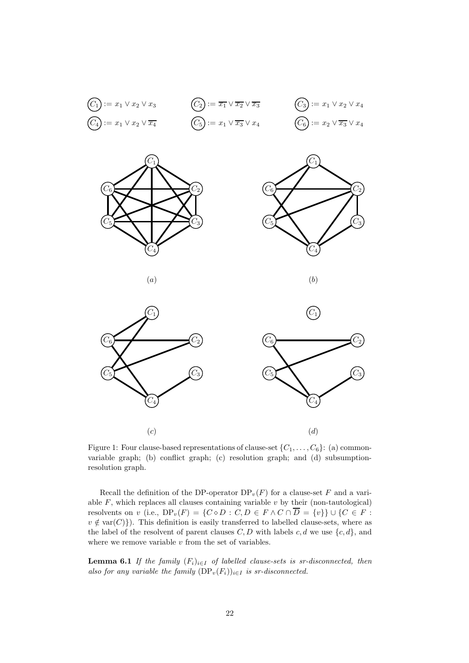





(a)





Figure 1: Four clause-based representations of clause-set  $\{C_1, \ldots, C_6\}$ : (a) commonvariable graph; (b) conflict graph; (c) resolution graph; and (d) subsumptionresolution graph.

Recall the definition of the DP-operator  $DP_v(F)$  for a clause-set F and a variable  $F$ , which replaces all clauses containing variable  $v$  by their (non-tautological) resolvents on v (i.e.,  $DP_v(F) = \{C \diamond D : C, D \in F \wedge C \cap \overline{D} = \{v\}\} \cup \{C \in F$ :  $v \notin \text{var}(C)$ ). This definition is easily transferred to labelled clause-sets, where as the label of the resolvent of parent clauses C, D with labels c, d we use  $\{c, d\}$ , and where we remove variable  $v$  from the set of variables.

**Lemma 6.1** If the family  $(F_i)_{i \in I}$  of labelled clause-sets is sr-disconnected, then also for any variable the family  $(DP_v(F_i))_{i\in I}$  is sr-disconnected.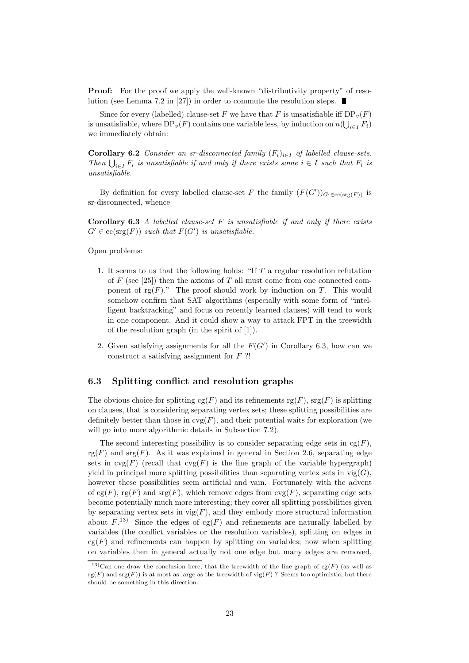**Proof:** For the proof we apply the well-known "distributivity property" of resolution (see Lemma 7.2 in [27]) in order to commute the resolution steps.  $\blacksquare$ 

Since for every (labelled) clause-set F we have that F is unsatisfiable iff  $DP_v(F)$ is unsatisfiable, where  $DP_v(F)$  contains one variable less, by induction on  $n(\bigcup_{i \in I} F_i)$ we immediately obtain:

Corollary 6.2 Consider an sr-disconnected family  $(F_i)_{i\in I}$  of labelled clause-sets. Then  $\bigcup_{i\in I} F_i$  is unsatisfiable if and only if there exists some  $i \in I$  such that  $F_i$  is unsatisfiable.

By definition for every labelled clause-set F the family  $(F(G'))_{G' \in c c(srg(F))}$  is sr-disconnected, whence

Corollary 6.3 A labelled clause-set  $F$  is unsatisfiable if and only if there exists  $G' \in \operatorname{cc}(\operatorname{srg}(F))$  such that  $F(G')$  is unsatisfiable.

Open problems:

- 1. It seems to us that the following holds: "If T a regular resolution refutation of  $F$  (see [25]) then the axioms of  $T$  all must come from one connected component of  $rg(F)$ ." The proof should work by induction on T. This would somehow confirm that SAT algorithms (especially with some form of "intelligent backtracking" and focus on recently learned clauses) will tend to work in one component. And it could show a way to attack FPT in the treewidth of the resolution graph (in the spirit of [1]).
- 2. Given satisfying assignments for all the  $F(G')$  in Corollary 6.3, how can we construct a satisfying assignment for  $F$ ?!

#### 6.3 Splitting conflict and resolution graphs

The obvious choice for splitting  $cg(F)$  and its refinements  $rg(F)$ ,  $srg(F)$  is splitting on clauses, that is considering separating vertex sets; these splitting possibilities are definitely better than those in  $\text{cvg}(F)$ , and their potential waits for exploration (we will go into more algorithmic details in Subsection 7.2).

The second interesting possibility is to consider separating edge sets in  $cg(F)$ ,  $rg(F)$  and  $srg(F)$ . As it was explained in general in Section 2.6, separating edge sets in  $\text{cvg}(F)$  (recall that  $\text{cvg}(F)$  is the line graph of the variable hypergraph) yield in principal more splitting possibilities than separating vertex sets in  $\text{vig}(G)$ , however these possibilities seem artificial and vain. Fortunately with the advent of cg(F), rg(F) and srg(F), which remove edges from  $\text{cyc}(F)$ , separating edge sets become potentially much more interesting; they cover all splitting possibilities given by separating vertex sets in  $\text{vig}(F)$ , and they embody more structural information about  $F^{(13)}$  Since the edges of  $cg(F)$  and refinements are naturally labelled by variables (the conflict variables or the resolution variables), splitting on edges in  $cg(F)$  and refinements can happen by splitting on variables; now when splitting on variables then in general actually not one edge but many edges are removed,

<sup>&</sup>lt;sup>13)</sup>Can one draw the conclusion here, that the treewidth of the line graph of  $c\epsilon(F)$  (as well as  $rg(F)$  and  $srg(F)$ ) is at most as large as the treewidth of vig(F)? Seems too optimistic, but there should be something in this direction.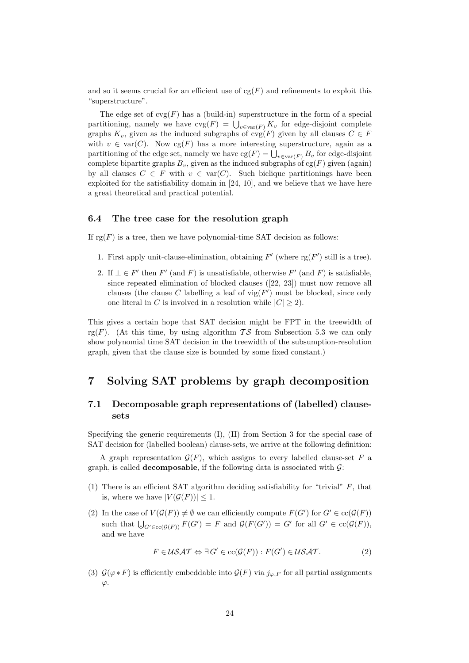and so it seems crucial for an efficient use of  $cg(F)$  and refinements to exploit this "superstructure".

The edge set of  $\text{cvg}(F)$  has a (build-in) superstructure in the form of a special partitioning, namely we have  $\text{cvg}(F) = \bigcup_{v \in \text{var}(F)} K_v$  for edge-disjoint complete graphs  $K_v$ , given as the induced subgraphs of  $cvg(F)$  given by all clauses  $C \in F$ with  $v \in \text{var}(C)$ . Now  $\text{cg}(F)$  has a more interesting superstructure, again as a partitioning of the edge set, namely we have  $cg(F) = \bigcup_{v \in var(F)} B_v$  for edge-disjoint complete bipartite graphs  $B_v$ , given as the induced subgraphs of cg(F) given (again) by all clauses  $C \in F$  with  $v \in \text{var}(C)$ . Such biclique partitionings have been exploited for the satisfiability domain in [24, 10], and we believe that we have here a great theoretical and practical potential.

#### 6.4 The tree case for the resolution graph

If  $rg(F)$  is a tree, then we have polynomial-time SAT decision as follows:

- 1. First apply unit-clause-elimination, obtaining  $F'$  (where  $\text{rg}(F')$  still is a tree).
- 2. If  $\bot$  ∈  $F'$  then  $F'$  (and  $F$ ) is unsatisfiable, otherwise  $F'$  (and  $F$ ) is satisfiable, since repeated elimination of blocked clauses ([22, 23]) must now remove all clauses (the clause C labelling a leaf of  $\text{vig}(F')$  must be blocked, since only one literal in C is involved in a resolution while  $|C| > 2$ .

This gives a certain hope that SAT decision might be FPT in the treewidth of rg(F). (At this time, by using algorithm  $TS$  from Subsection 5.3 we can only show polynomial time SAT decision in the treewidth of the subsumption-resolution graph, given that the clause size is bounded by some fixed constant.)

## 7 Solving SAT problems by graph decomposition

## 7.1 Decomposable graph representations of (labelled) clausesets

Specifying the generic requirements (I), (II) from Section 3 for the special case of SAT decision for (labelled boolean) clause-sets, we arrive at the following definition:

A graph representation  $\mathcal{G}(F)$ , which assigns to every labelled clause-set F a graph, is called **decomposable**, if the following data is associated with  $\mathcal{G}$ :

- (1) There is an efficient SAT algorithm deciding satisfiability for "trivial"  $F$ , that is, where we have  $|V(\mathcal{G}(F))| \leq 1$ .
- (2) In the case of  $V(\mathcal{G}(F)) \neq \emptyset$  we can efficiently compute  $F(G')$  for  $G' \in \text{cc}(\mathcal{G}(F))$ such that  $\bigcup_{G' \in cc(\mathcal{G}(F))} F(G') = F$  and  $\mathcal{G}(F(G')) = G'$  for all  $G' \in cc(\mathcal{G}(F)),$ <br>and we have and we have

$$
F \in \mathcal{USAT} \Leftrightarrow \exists G' \in \text{cc}(\mathcal{G}(F)): F(G') \in \mathcal{USAT}.
$$
 (2)

(3)  $\mathcal{G}(\varphi * F)$  is efficiently embeddable into  $\mathcal{G}(F)$  via  $j_{\varphi,F}$  for all partial assignments  $\varphi$ .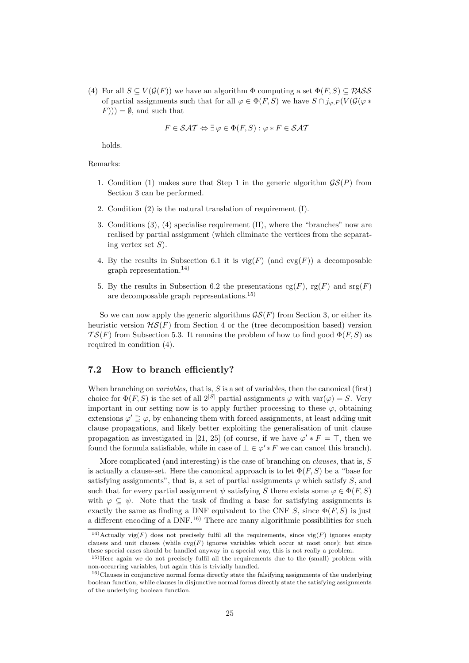(4) For all  $S \subseteq V(\mathcal{G}(F))$  we have an algorithm  $\Phi$  computing a set  $\Phi(F, S) \subseteq PASS$ of partial assignments such that for all  $\varphi \in \Phi(F, S)$  we have  $S \cap i_{\varphi, F}(V(\mathcal{G}(\varphi \ast$  $(F)) = \emptyset$ , and such that

$$
F \in \mathcal{SAT} \Leftrightarrow \exists \varphi \in \Phi(F, S) : \varphi * F \in \mathcal{SAT}
$$

holds.

Remarks:

- 1. Condition (1) makes sure that Step 1 in the generic algorithm  $\mathcal{GS}(P)$  from Section 3 can be performed.
- 2. Condition (2) is the natural translation of requirement (I).
- 3. Conditions (3), (4) specialise requirement (II), where the "branches" now are realised by partial assignment (which eliminate the vertices from the separating vertex set  $S$ ).
- 4. By the results in Subsection 6.1 it is  $\text{vig}(F)$  (and  $\text{cvg}(F)$ ) a decomposable graph representation.<sup>14)</sup>
- 5. By the results in Subsection 6.2 the presentations  $cg(F)$ ,  $rg(F)$  and  $srg(F)$ are decomposable graph representations.15)

So we can now apply the generic algorithms  $\mathcal{GS}(F)$  from Section 3, or either its heuristic version  $H\mathcal{S}(F)$  from Section 4 or the (tree decomposition based) version  $TS(F)$  from Subsection 5.3. It remains the problem of how to find good  $\Phi(F, S)$  as required in condition  $(4)$ .

#### 7.2 How to branch efficiently?

When branching on *variables*, that is,  $S$  is a set of variables, then the canonical (first) choice for  $\Phi(F, S)$  is the set of all  $2^{|S|}$  partial assignments  $\varphi$  with var $(\varphi) = S$ . Very important in our setting now is to apply further processing to these  $\varphi$ , obtaining extensions  $\varphi' \supseteq \varphi$ , by enhancing them with forced assignments, at least adding unit clause propagations, and likely better exploiting the generalisation of unit clause propagation as investigated in [21, 25] (of course, if we have  $\varphi' * F = \top$ , then we found the formula satisfiable, while in case of  $\bot \in \varphi' * F$  we can cancel this branch).

More complicated (and interesting) is the case of branching on *clauses*, that is,  $S$ is actually a clause-set. Here the canonical approach is to let  $\Phi(F, S)$  be a "base for satisfying assignments", that is, a set of partial assignments  $\varphi$  which satisfy S, and such that for every partial assignment  $\psi$  satisfying S there exists some  $\varphi \in \Phi(F, S)$ with  $\varphi \subseteq \psi$ . Note that the task of finding a base for satisfying assignments is exactly the same as finding a DNF equivalent to the CNF S, since  $\Phi(F, S)$  is just a different encoding of a  $DNF^{16}$ . There are many algorithmic possibilities for such

<sup>&</sup>lt;sup>14)</sup>Actually vig(F) does not precisely fulfil all the requirements, since vig(F) ignores empty clauses and unit clauses (while  $\text{cvg}(F)$  ignores variables which occur at most once); but since these special cases should be handled anyway in a special way, this is not really a problem.

<sup>15)</sup>Here again we do not precisely fulfil all the requirements due to the (small) problem with non-occurring variables, but again this is trivially handled.

<sup>&</sup>lt;sup>16)</sup>Clauses in conjunctive normal forms directly state the falsifying assignments of the underlying boolean function, while clauses in disjunctive normal forms directly state the satisfying assignments of the underlying boolean function.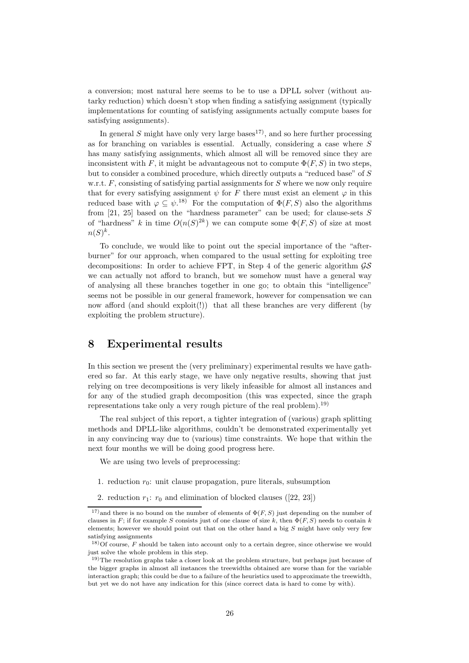a conversion; most natural here seems to be to use a DPLL solver (without autarky reduction) which doesn't stop when finding a satisfying assignment (typically implementations for counting of satisfying assignments actually compute bases for satisfying assignments).

In general S might have only very large bases<sup>17</sup>, and so here further processing as for branching on variables is essential. Actually, considering a case where S has many satisfying assignments, which almost all will be removed since they are inconsistent with F, it might be advantageous not to compute  $\Phi(F, S)$  in two steps, but to consider a combined procedure, which directly outputs a "reduced base" of S w.r.t.  $F$ , consisting of satisfying partial assignments for  $S$  where we now only require that for every satisfying assignment  $\psi$  for F there must exist an element  $\varphi$  in this reduced base with  $\varphi \subseteq \psi^{(18)}$  For the computation of  $\Phi(F, S)$  also the algorithms from [21, 25] based on the "hardness parameter" can be used; for clause-sets  $S$ of "hardness" k in time  $O(n(S)^{2k})$  we can compute some  $\Phi(F, S)$  of size at most  $n(S)^k$ .

To conclude, we would like to point out the special importance of the "afterburner" for our approach, when compared to the usual setting for exploiting tree decompositions: In order to achieve FPT, in Step 4 of the generic algorithm  $\mathcal{GS}$ we can actually not afford to branch, but we somehow must have a general way of analysing all these branches together in one go; to obtain this "intelligence" seems not be possible in our general framework, however for compensation we can now afford (and should exploit(!)) that all these branches are very different (by exploiting the problem structure).

## 8 Experimental results

In this section we present the (very preliminary) experimental results we have gathered so far. At this early stage, we have only negative results, showing that just relying on tree decompositions is very likely infeasible for almost all instances and for any of the studied graph decomposition (this was expected, since the graph representations take only a very rough picture of the real problem).<sup>19)</sup>

The real subject of this report, a tighter integration of (various) graph splitting methods and DPLL-like algorithms, couldn't be demonstrated experimentally yet in any convincing way due to (various) time constraints. We hope that within the next four months we will be doing good progress here.

We are using two levels of preprocessing:

- 1. reduction  $r_0$ : unit clause propagation, pure literals, subsumption
- 2. reduction  $r_1$ :  $r_0$  and elimination of blocked clauses ([22, 23])

<sup>&</sup>lt;sup>17)</sup> and there is no bound on the number of elements of  $\Phi(F, S)$  just depending on the number of clauses in F; if for example S consists just of one clause of size k, then  $\Phi(F, S)$  needs to contain k elements; however we should point out that on the other hand a big  $S$  might have only very few satisfying assignments

 $18)$ Of course, F should be taken into account only to a certain degree, since otherwise we would just solve the whole problem in this step.

<sup>19)</sup>The resolution graphs take a closer look at the problem structure, but perhaps just because of the bigger graphs in almost all instances the treewidths obtained are worse than for the variable interaction graph; this could be due to a failure of the heuristics used to approximate the treewidth, but yet we do not have any indication for this (since correct data is hard to come by with).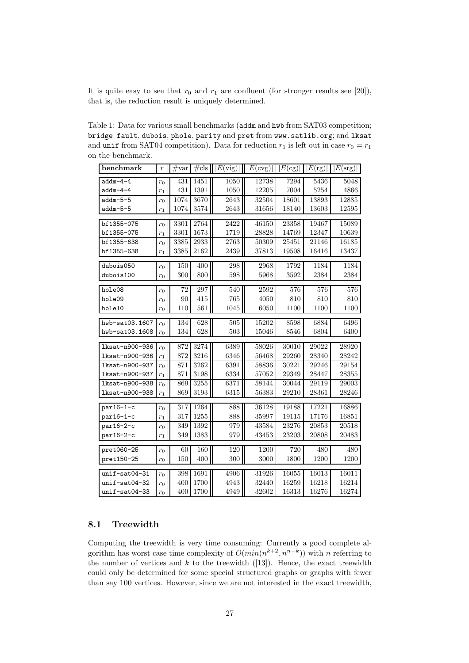It is quite easy to see that  $r_0$  and  $r_1$  are confluent (for stronger results see [20]), that is, the reduction result is uniquely determined.

Table 1: Data for various small benchmarks (addm and hwb from SAT03 competition; bridge fault, dubois, phole, parity and pret from www.satlib.org; and lksat and unif from SAT04 competition). Data for reduction  $r_1$  is left out in case  $r_0 = r_1$ on the benchmark.

| benchmark       | $\hat{r}$   | #var | #cls | $\overline{E}$ (vig) | $ E(\text{cvg}) $ | $ E(\text{cg}) $ | $E(\text{rg})$ | E(srg) |
|-----------------|-------------|------|------|----------------------|-------------------|------------------|----------------|--------|
| $addm-4-4$      | $r_0$       | 431  | 1451 | 1050                 | 12738             | 7294             | 5436           | 5048   |
| $addm-4-4$      | $r_1$       | 431  | 1391 | 1050                 | 12205             | 7004             | 5254           | 4866   |
| $addm-5-5$      | $r_0$       | 1074 | 3670 | 2643                 | 32504             | 18601            | 13893          | 12885  |
| $addm-5-5$      | $r_1$       | 1074 | 3574 | 2643                 | 31656             | 18140            | 13603          | 12595  |
|                 |             |      |      |                      |                   |                  |                |        |
| bf1355-075      | $r_0$       | 3301 | 2764 | 2422                 | 46150             | 23358            | 19467          | 15089  |
| bf1355-075      | $r_1$       | 3301 | 1673 | 1719                 | 28828             | 14769            | 12347          | 10639  |
| bf1355-638      | $r_0$       | 3385 | 2933 | 2763                 | 50309             | 25451            | 21146          | 16185  |
| bf1355-638      | $r_1$       | 3385 | 2162 | 2439                 | 37813             | 19508            | 16416          | 13437  |
| dubois050       | $r_{\rm 0}$ | 150  | 400  | 298                  | 2968              | 1792             | 1184           | 1184   |
| dubois100       | $r_0$       | 300  | 800  | 598                  | 5968              | 3592             | 2384           | 2384   |
|                 |             |      |      |                      |                   |                  |                |        |
| hole08          | $r_0$       | 72   | 297  | 540                  | 2592              | 576              | 576            | 576    |
| hole09          | $r_0$       | 90   | 415  | 765                  | 4050              | 810              | 810            | 810    |
| hole10          | $r_0$       | 110  | 561  | 1045                 | 6050              | 1100             | 1100           | 1100   |
|                 |             |      |      |                      |                   |                  |                |        |
| hwb-sat03.1607  | $r_0$       | 134  | 628  | 505                  | 15202             | 8598             | 6884           | 6496   |
| hwb-sat03.1608  | $r_0$       | 134  | 628  | 503                  | 15046             | 8546             | 6804           | 6400   |
| 1ksat-n900-936  | $r_0$       | 872  | 3274 | 6389                 | 58026             | 30010            | 29022          | 28920  |
| 1ksat-n900-936  | $r_1$       | 872  | 3216 | 6346                 | 56468             | 29260            | 28340          | 28242  |
| 1ksat-n900-937  | $r_0$       | 871  | 3262 | 6391                 | 58836             | 30221            | 29246          | 29154  |
| lksat-n900-937  | $r_1$       | 871  | 3198 | 6334                 | 57052             | 29349            | 28447          | 28355  |
| lksat-n900-938  | $r_0$       | 869  | 3255 | 6371                 | 58144             | 30044            | 29119          | 29003  |
| lksat-n900-938  | $r_1$       | 869  | 3193 | 6315                 | 56383             | 29210            | 28361          | 28246  |
|                 |             |      |      |                      |                   |                  |                |        |
| $par16-1-c$     | $r_0$       | 317  | 1264 | 888                  | 36128             | 19188            | 17221          | 16886  |
| $par16-1-c$     | $r_1$       | 317  | 1255 | 888                  | 35997             | 19115            | 17176          | 16851  |
| par16-2-c       | $r_0$       | 349  | 1392 | 979                  | 43584             | 23276            | 20853          | 20518  |
| $par16-2-c$     | $r_1$       | 349  | 1383 | 979                  | 43453             | 23203            | 20808          | 20483  |
| pret060-25      | $r_{\rm 0}$ | 60   | 160  | 120                  | 1200              | 720              | 480            | 480    |
| pret150-25      | $r_0$       | 150  | 400  | 300                  | 3000              | 1800             | 1200           | 1200   |
|                 |             |      |      |                      |                   |                  |                |        |
| $unif-sat04-31$ | $r_{\rm 0}$ | 398  | 1691 | 4906                 | 31926             | 16055            | 16013          | 16011  |
| $unif-sat04-32$ | $r_0$       | 400  | 1700 | 4943                 | 32440             | 16259            | 16218          | 16214  |
| $unif-sat04-33$ | $r_0$       | 400  | 1700 | 4949                 | 32602             | 16313            | 16276          | 16274  |

## 8.1 Treewidth

Computing the treewidth is very time consuming: Currently a good complete algorithm has worst case time complexity of  $O(min(n^{k+2}, n^{n-k}))$  with n referring to the number of vertices and  $k$  to the treewidth ([13]). Hence, the exact treewidth could only be determined for some special structured graphs or graphs with fewer than say 100 vertices. However, since we are not interested in the exact treewidth,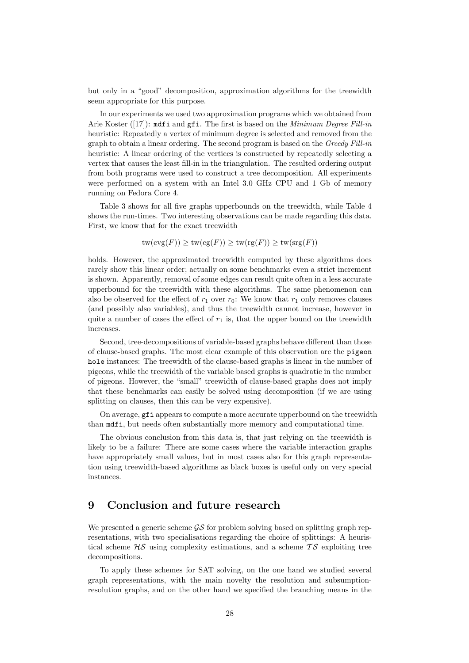but only in a "good" decomposition, approximation algorithms for the treewidth seem appropriate for this purpose.

In our experiments we used two approximation programs which we obtained from Arie Koster ([17]): mdfi and gfi. The first is based on the *Minimum Degree Fill-in* heuristic: Repeatedly a vertex of minimum degree is selected and removed from the graph to obtain a linear ordering. The second program is based on the  $Greedy Fill-in$ heuristic: A linear ordering of the vertices is constructed by repeatedly selecting a vertex that causes the least fill-in in the triangulation. The resulted ordering output from both programs were used to construct a tree decomposition. All experiments were performed on a system with an Intel 3.0 GHz CPU and 1 Gb of memory running on Fedora Core 4.

Table 3 shows for all five graphs upperbounds on the treewidth, while Table 4 shows the run-times. Two interesting observations can be made regarding this data. First, we know that for the exact treewidth

$$
tw(cvg(F)) \geq tw(cg(F)) \geq tw(rg(F)) \geq tw(srg(F))
$$

holds. However, the approximated treewidth computed by these algorithms does rarely show this linear order; actually on some benchmarks even a strict increment is shown. Apparently, removal of some edges can result quite often in a less accurate upperbound for the treewidth with these algorithms. The same phenomenon can also be observed for the effect of  $r_1$  over  $r_0$ : We know that  $r_1$  only removes clauses (and possibly also variables), and thus the treewidth cannot increase, however in quite a number of cases the effect of  $r_1$  is, that the upper bound on the treewidth increases.

Second, tree-decompositions of variable-based graphs behave different than those of clause-based graphs. The most clear example of this observation are the pigeon hole instances: The treewidth of the clause-based graphs is linear in the number of pigeons, while the treewidth of the variable based graphs is quadratic in the number of pigeons. However, the "small" treewidth of clause-based graphs does not imply that these benchmarks can easily be solved using decomposition (if we are using splitting on clauses, then this can be very expensive).

On average, gfi appears to compute a more accurate upperbound on the treewidth than mdfi, but needs often substantially more memory and computational time.

The obvious conclusion from this data is, that just relying on the treewidth is likely to be a failure: There are some cases where the variable interaction graphs have appropriately small values, but in most cases also for this graph representation using treewidth-based algorithms as black boxes is useful only on very special instances.

# 9 Conclusion and future research

We presented a generic scheme  $\mathcal{G}\mathcal{S}$  for problem solving based on splitting graph representations, with two specialisations regarding the choice of splittings: A heuristical scheme  $H\mathcal{S}$  using complexity estimations, and a scheme  $\mathcal{TS}$  exploiting tree decompositions.

To apply these schemes for SAT solving, on the one hand we studied several graph representations, with the main novelty the resolution and subsumptionresolution graphs, and on the other hand we specified the branching means in the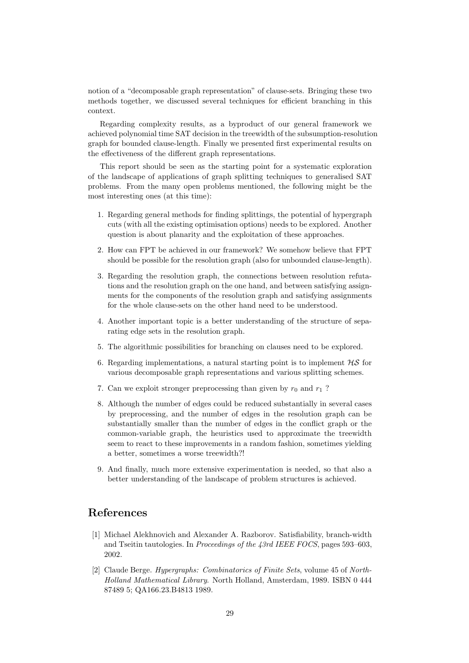notion of a "decomposable graph representation" of clause-sets. Bringing these two methods together, we discussed several techniques for efficient branching in this context.

Regarding complexity results, as a byproduct of our general framework we achieved polynomial time SAT decision in the treewidth of the subsumption-resolution graph for bounded clause-length. Finally we presented first experimental results on the effectiveness of the different graph representations.

This report should be seen as the starting point for a systematic exploration of the landscape of applications of graph splitting techniques to generalised SAT problems. From the many open problems mentioned, the following might be the most interesting ones (at this time):

- 1. Regarding general methods for finding splittings, the potential of hypergraph cuts (with all the existing optimisation options) needs to be explored. Another question is about planarity and the exploitation of these approaches.
- 2. How can FPT be achieved in our framework? We somehow believe that FPT should be possible for the resolution graph (also for unbounded clause-length).
- 3. Regarding the resolution graph, the connections between resolution refutations and the resolution graph on the one hand, and between satisfying assignments for the components of the resolution graph and satisfying assignments for the whole clause-sets on the other hand need to be understood.
- 4. Another important topic is a better understanding of the structure of separating edge sets in the resolution graph.
- 5. The algorithmic possibilities for branching on clauses need to be explored.
- 6. Regarding implementations, a natural starting point is to implement  $\mathcal{H}\mathcal{S}$  for various decomposable graph representations and various splitting schemes.
- 7. Can we exploit stronger preprocessing than given by  $r_0$  and  $r_1$ ?
- 8. Although the number of edges could be reduced substantially in several cases by preprocessing, and the number of edges in the resolution graph can be substantially smaller than the number of edges in the conflict graph or the common-variable graph, the heuristics used to approximate the treewidth seem to react to these improvements in a random fashion, sometimes yielding a better, sometimes a worse treewidth?!
- 9. And finally, much more extensive experimentation is needed, so that also a better understanding of the landscape of problem structures is achieved.

# References

- [1] Michael Alekhnovich and Alexander A. Razborov. Satisfiability, branch-width and Tseitin tautologies. In Proceedings of the 43rd IEEE FOCS, pages 593–603, 2002.
- [2] Claude Berge. Hypergraphs: Combinatorics of Finite Sets, volume 45 of North-Holland Mathematical Library. North Holland, Amsterdam, 1989. ISBN 0 444 87489 5; QA166.23.B4813 1989.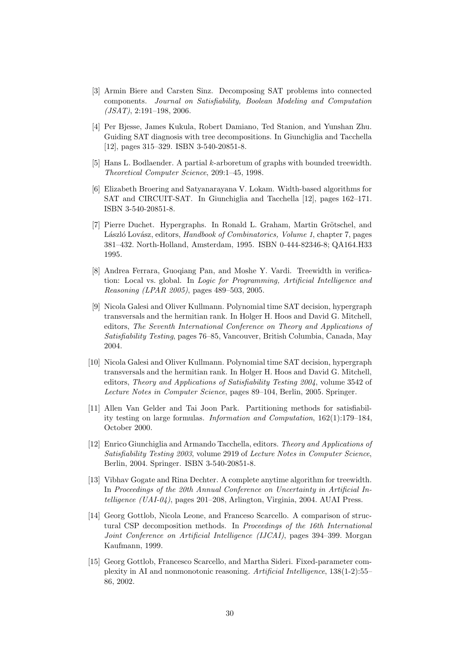- [3] Armin Biere and Carsten Sinz. Decomposing SAT problems into connected components. Journal on Satisfiability, Boolean Modeling and Computation  $(JSAT)$ , 2:191-198, 2006.
- [4] Per Bjesse, James Kukula, Robert Damiano, Ted Stanion, and Yunshan Zhu. Guiding SAT diagnosis with tree decompositions. In Giunchiglia and Tacchella [12], pages 315–329. ISBN 3-540-20851-8.
- [5] Hans L. Bodlaender. A partial k-arboretum of graphs with bounded treewidth. Theoretical Computer Science, 209:1–45, 1998.
- [6] Elizabeth Broering and Satyanarayana V. Lokam. Width-based algorithms for SAT and CIRCUIT-SAT. In Giunchiglia and Tacchella [12], pages 162–171. ISBN 3-540-20851-8.
- [7] Pierre Duchet. Hypergraphs. In Ronald L. Graham, Martin Grötschel, and László Lovász, editors, Handbook of Combinatorics, Volume 1, chapter 7, pages 381–432. North-Holland, Amsterdam, 1995. ISBN 0-444-82346-8; QA164.H33 1995.
- [8] Andrea Ferrara, Guoqiang Pan, and Moshe Y. Vardi. Treewidth in verification: Local vs. global. In Logic for Programming, Artificial Intelligence and Reasoning (LPAR 2005), pages 489–503, 2005.
- [9] Nicola Galesi and Oliver Kullmann. Polynomial time SAT decision, hypergraph transversals and the hermitian rank. In Holger H. Hoos and David G. Mitchell, editors, The Seventh International Conference on Theory and Applications of Satisfiability Testing, pages 76–85, Vancouver, British Columbia, Canada, May 2004.
- [10] Nicola Galesi and Oliver Kullmann. Polynomial time SAT decision, hypergraph transversals and the hermitian rank. In Holger H. Hoos and David G. Mitchell, editors, Theory and Applications of Satisfiability Testing 2004, volume 3542 of Lecture Notes in Computer Science, pages 89–104, Berlin, 2005. Springer.
- [11] Allen Van Gelder and Tai Joon Park. Partitioning methods for satisfiability testing on large formulas. Information and Computation, 162(1):179–184, October 2000.
- [12] Enrico Giunchiglia and Armando Tacchella, editors. Theory and Applications of Satisfiability Testing 2003, volume 2919 of Lecture Notes in Computer Science, Berlin, 2004. Springer. ISBN 3-540-20851-8.
- [13] Vibhav Gogate and Rina Dechter. A complete anytime algorithm for treewidth. In Proceedings of the 20th Annual Conference on Uncertainty in Artificial Intelligence (UAI-04), pages 201–208, Arlington, Virginia, 2004. AUAI Press.
- [14] Georg Gottlob, Nicola Leone, and Franceso Scarcello. A comparison of structural CSP decomposition methods. In Proceedings of the 16th International Joint Conference on Artificial Intelligence (IJCAI), pages 394–399. Morgan Kaufmann, 1999.
- [15] Georg Gottlob, Francesco Scarcello, and Martha Sideri. Fixed-parameter complexity in AI and nonmonotonic reasoning. Artificial Intelligence, 138(1-2):55– 86, 2002.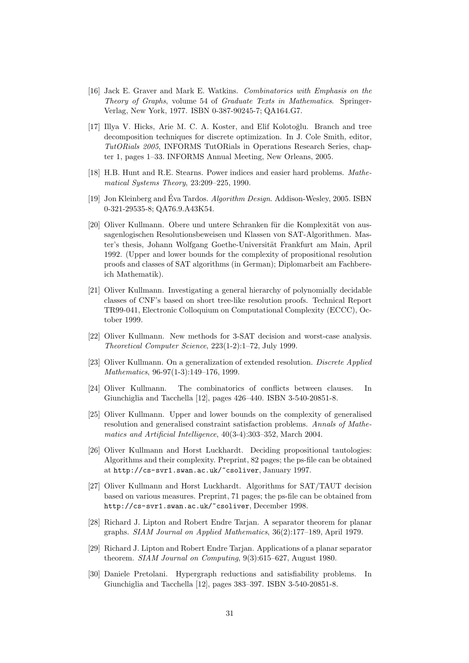- [16] Jack E. Graver and Mark E. Watkins. Combinatorics with Emphasis on the Theory of Graphs, volume 54 of Graduate Texts in Mathematics. Springer-Verlag, New York, 1977. ISBN 0-387-90245-7; QA164.G7.
- [17] Illya V. Hicks, Arie M. C. A. Koster, and Elif Kolotoğlu. Branch and tree decomposition techniques for discrete optimization. In J. Cole Smith, editor, TutORials 2005, INFORMS TutORials in Operations Research Series, chapter 1, pages 1–33. INFORMS Annual Meeting, New Orleans, 2005.
- [18] H.B. Hunt and R.E. Stearns. Power indices and easier hard problems. Mathematical Systems Theory, 23:209–225, 1990.
- [19] Jon Kleinberg and Éva Tardos. *Algorithm Design*. Addison-Wesley, 2005. ISBN 0-321-29535-8; QA76.9.A43K54.
- [20] Oliver Kullmann. Obere und untere Schranken für die Komplexität von aussagenlogischen Resolutionsbeweisen und Klassen von SAT-Algorithmen. Master's thesis, Johann Wolfgang Goethe-Universität Frankfurt am Main, April 1992. (Upper and lower bounds for the complexity of propositional resolution proofs and classes of SAT algorithms (in German); Diplomarbeit am Fachbereich Mathematik).
- [21] Oliver Kullmann. Investigating a general hierarchy of polynomially decidable classes of CNF's based on short tree-like resolution proofs. Technical Report TR99-041, Electronic Colloquium on Computational Complexity (ECCC), October 1999.
- [22] Oliver Kullmann. New methods for 3-SAT decision and worst-case analysis. Theoretical Computer Science, 223(1-2):1–72, July 1999.
- [23] Oliver Kullmann. On a generalization of extended resolution. Discrete Applied Mathematics, 96-97(1-3):149–176, 1999.
- [24] Oliver Kullmann. The combinatorics of conflicts between clauses. In Giunchiglia and Tacchella [12], pages 426–440. ISBN 3-540-20851-8.
- [25] Oliver Kullmann. Upper and lower bounds on the complexity of generalised resolution and generalised constraint satisfaction problems. Annals of Mathematics and Artificial Intelligence, 40(3-4):303–352, March 2004.
- [26] Oliver Kullmann and Horst Luckhardt. Deciding propositional tautologies: Algorithms and their complexity. Preprint, 82 pages; the ps-file can be obtained at http://cs-svr1.swan.ac.uk/~csoliver, January 1997.
- [27] Oliver Kullmann and Horst Luckhardt. Algorithms for SAT/TAUT decision based on various measures. Preprint, 71 pages; the ps-file can be obtained from http://cs-svr1.swan.ac.uk/~csoliver, December 1998.
- [28] Richard J. Lipton and Robert Endre Tarjan. A separator theorem for planar graphs. SIAM Journal on Applied Mathematics, 36(2):177–189, April 1979.
- [29] Richard J. Lipton and Robert Endre Tarjan. Applications of a planar separator theorem. SIAM Journal on Computing, 9(3):615–627, August 1980.
- [30] Daniele Pretolani. Hypergraph reductions and satisfiability problems. In Giunchiglia and Tacchella [12], pages 383–397. ISBN 3-540-20851-8.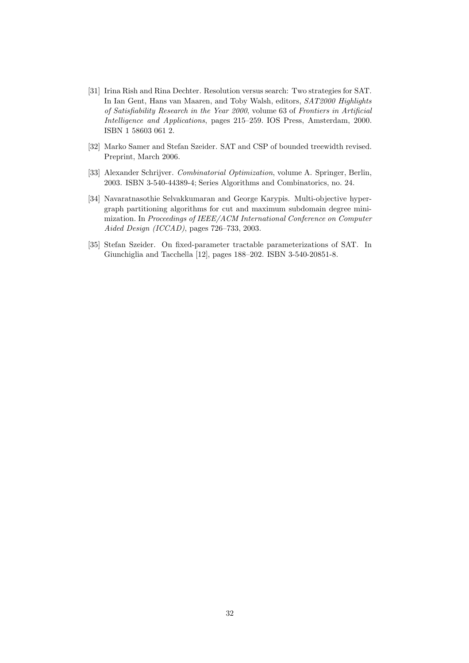- [31] Irina Rish and Rina Dechter. Resolution versus search: Two strategies for SAT. In Ian Gent, Hans van Maaren, and Toby Walsh, editors, SAT2000 Highlights of Satisfiability Research in the Year 2000, volume 63 of Frontiers in Artificial Intelligence and Applications, pages 215–259. IOS Press, Amsterdam, 2000. ISBN 1 58603 061 2.
- [32] Marko Samer and Stefan Szeider. SAT and CSP of bounded treewidth revised. Preprint, March 2006.
- [33] Alexander Schrijver. Combinatorial Optimization, volume A. Springer, Berlin, 2003. ISBN 3-540-44389-4; Series Algorithms and Combinatorics, no. 24.
- [34] Navaratnasothie Selvakkumaran and George Karypis. Multi-objective hypergraph partitioning algorithms for cut and maximum subdomain degree minimization. In Proceedings of IEEE/ACM International Conference on Computer Aided Design (ICCAD), pages 726–733, 2003.
- [35] Stefan Szeider. On fixed-parameter tractable parameterizations of SAT. In Giunchiglia and Tacchella [12], pages 188–202. ISBN 3-540-20851-8.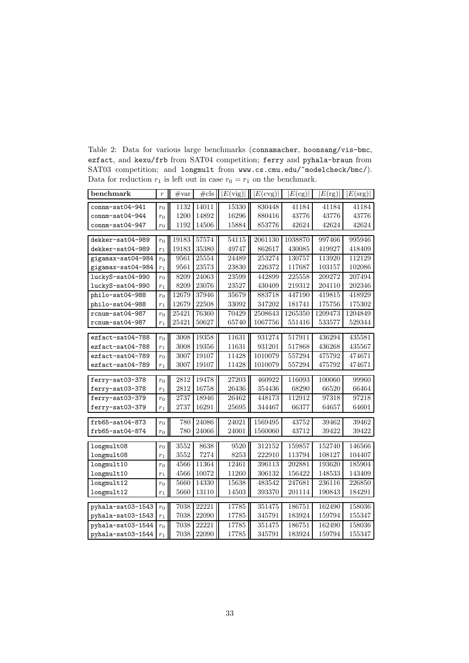Table 2: Data for various large benchmarks (connamacher, hoonsang/vis-bmc, ezfact, and kexu/frb from SAT04 competition; ferry and pyhala-braun from SAT03 competition; and longmult from www.cs.cmu.edu/~modelcheck/bmc/). Data for reduction  $r_1$  is left out in case  $r_0 = r_1$  on the benchmark.

| benchmark                                                                           | $\boldsymbol{r}$ | #var  | #cls  | E(vig) | E(cvg)  | E(cg)   | $E(\text{rg})$ | E(srg)  |
|-------------------------------------------------------------------------------------|------------------|-------|-------|--------|---------|---------|----------------|---------|
| connm-sat04-941                                                                     | $r_0$            | 1132  | 14011 | 15330  | 830448  | 41184   | 41184          | 41184   |
| connm-sat04-944                                                                     | $r_0$            | 1200  | 14892 | 16296  | 880416  | 43776   | 43776          | 43776   |
| connm-sat04-947                                                                     | $r_0$            | 1192  | 14506 | 15884  | 853776  | 42624   | 42624          | 42624   |
|                                                                                     |                  |       |       |        |         |         |                |         |
| dekker-sat04-989                                                                    | $r_0$            | 19183 | 57574 | 54115  | 2061130 | 1038870 | 997466         | 995946  |
| dekker-sat04-989                                                                    | $r_1$            | 19183 | 35380 | 49747  | 862617  | 430085  | 419927         | 418409  |
| gigamax-sat04-984                                                                   | $r_0$            | 9561  | 25554 | 24489  | 253274  | 130757  | 113920         | 112129  |
| gigamax-sat04-984                                                                   | $r_1$            | 9561  | 23573 | 23830  | 226372  | 117687  | 103157         | 102086  |
| luckyS-sat04-990                                                                    | $r_0$            | 8209  | 24063 | 23599  | 442899  | 225558  | 209272         | 207494  |
| luckyS-sat04-990                                                                    | $r_1$            | 8209  | 23076 | 23527  | 430409  | 219312  | 204110         | 202346  |
| philo-sat04-988                                                                     | $r_0$            | 12679 | 37946 | 35679  | 883718  | 447190  | 419815         | 418929  |
| philo-sat04-988                                                                     | $r_1$            | 12679 | 22508 | 33092  | 347202  | 181741  | 175756         | 175302  |
| rcnum-sat04-987                                                                     | $r_0$            | 25421 | 76360 | 70429  | 2508643 | 1265350 | 1209473        | 1204849 |
| rcnum-sat04-987                                                                     | $r_1$            | 25421 | 50627 | 65740  | 1067756 | 551416  | 533577         | 529344  |
|                                                                                     |                  |       |       |        |         |         |                |         |
| ezfact-sat04-788                                                                    | $r_0$            | 3008  | 19358 | 11631  | 931274  | 517911  | 436294         | 435581  |
| ezfact-sat04-788                                                                    | $r_1$            | 3008  | 19356 | 11631  | 931201  | 517868  | 436268         | 435567  |
| ezfact-sat04-789                                                                    | r <sub>0</sub>   | 3007  | 19107 | 11428  | 1010079 | 557294  | 475792         | 474671  |
| ezfact-sat04-789                                                                    | $r_1$            | 3007  | 19107 | 11428  | 1010079 | 557294  | 475792         | 474671  |
| ferry-sat03-378                                                                     | $r_0$            | 2812  | 19478 | 27203  | 460922  | 116093  | 100060         | 99960   |
| ferry-sat03-378                                                                     | $r_1$            | 2812  | 16758 | 26436  | 354436  | 68290   | 66520          | 66464   |
| ferry-sat03-379                                                                     | $r_0$            | 2737  | 18946 | 26462  | 448173  | 112912  | 97318          | 97218   |
| ferry-sat03-379                                                                     | $r_1$            | 2737  | 16291 | 25695  | 344467  | 66377   | 64657          | 64601   |
|                                                                                     |                  |       |       |        |         |         |                |         |
| $frb65-sat04-873$                                                                   | $r_0$            | 780   | 24086 | 24021  | 1569495 | 43752   | 39462          | 39462   |
| frb65-sat04-874                                                                     | $r_0$            | 780   | 24066 | 24001  | 1560060 | 43712   | 39422          | 39422   |
|                                                                                     |                  |       |       |        |         |         |                |         |
| longmult08                                                                          | $r_0$            | 3552  | 8638  | 9520   | 312152  | 159857  | 152740         | 146566  |
| longmult08                                                                          | $r_1$            | 3552  | 7274  | 8253   | 222910  | 113794  | 108127         | 104407  |
| longmult10                                                                          | $r_0$            | 4566  | 11364 | 12461  | 396113  | 202881  | 193620         | 185904  |
| longmult10                                                                          | $r_1$            | 4566  | 10072 | 11260  | 306132  | 156422  | 148533         | 143409  |
| longmult12                                                                          | $r_0$            | 5660  | 14330 | 15638  | 483542  | 247681  | 236116         | 226850  |
| longmult12                                                                          | $r_1$            | 5660  | 13110 | 14503  | 393370  | 201114  | 190843         | 184291  |
| pyhala-sat03-1543<br>7038<br>22221<br>17785<br>351475<br>158036<br>186751<br>162490 |                  |       |       |        |         |         |                |         |
| pyhala-sat03-1543                                                                   | $r_0$<br>$r_1$   | 7038  | 22090 | 17785  | 345791  | 183924  | 159794         | 155347  |
|                                                                                     |                  |       | 22221 |        |         |         |                |         |
| pyhala-sat03-1544                                                                   | $r_0$            | 7038  |       | 17785  | 351475  | 186751  | 162490         | 158036  |
| pyhala-sat03-1544                                                                   | $r_1$            | 7038  | 22090 | 17785  | 345791  | 183924  | 159794         | 155347  |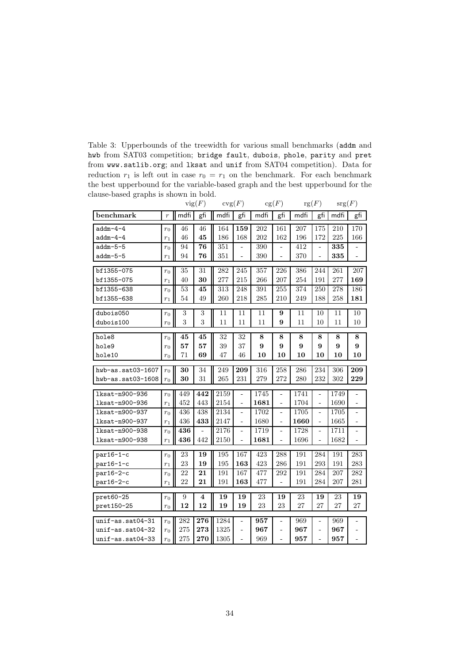Table 3: Upperbounds of the treewidth for various small benchmarks (addm and hwb from SAT03 competition; bridge fault, dubois, phole, parity and pret from www.satlib.org; and lksat and unif from SAT04 competition). Data for reduction  $r_1$  is left out in case  $r_0 = r_1$  on the benchmark. For each benchmark the best upperbound for the variable-based graph and the best upperbound for the clause-based graphs is shown in bold.

|                    |                      |                | $\mathrm{vig}(F)$ |          | $\mathrm{cvg}(F)$        |      | cg(F)                    |      | rg(F)                        |          | srg(F)                   |
|--------------------|----------------------|----------------|-------------------|----------|--------------------------|------|--------------------------|------|------------------------------|----------|--------------------------|
| benchmark          | $\boldsymbol{r}$     | mdfi           | gfi               | mdfi     | gfi                      | mdfi | gfi                      | mdfi | gfi                          | mdfi     | gfi                      |
| $addm-4-4$         | $r_0$                | 46             | 46                | 164      | 159                      | 202  | 161                      | 207  | 175                          | 210      | 170                      |
| $addm-4-4$         | $r_1$                | 46             | 45                | 186      | 168                      | 202  | 162                      | 196  | 172                          | $225\,$  | 166                      |
| $addm-5-5$         | $r_0$                | 94             | 76                | 351      |                          | 390  | -                        | 412  | $\qquad \qquad \blacksquare$ | 335      |                          |
| $addm-5-5$         | $r_{1}$              | 94             | 76                | 351      | $\blacksquare$           | 390  | $\overline{a}$           | 370  | $\blacksquare$               | 335      | $\overline{\phantom{0}}$ |
| bf1355-075         |                      | 35             | 31                | 282      | 245                      | 357  | 226                      | 386  | 244                          | 261      | 207                      |
| bf1355-075         | $r_{\rm 0}$<br>$r_1$ | 40             | 30                | 277      | 215                      | 266  | 207                      | 254  | 191                          | 277      | 169                      |
| bf1355-638         | $r_0$                | 53             | 45                | 313      | 248                      | 391  | 255                      | 374  | 250                          | 278      | 186                      |
| bf1355-638         | $r_1$                | 54             | 49                | 260      | 218                      | 285  | 210                      | 249  | 188                          | 258      | 181                      |
|                    |                      |                |                   |          |                          |      |                          |      |                              |          |                          |
| dubois050          | $r_0$                | $\overline{3}$ | 3                 | 11       | $\overline{11}$          | 11   | 9                        | 11   | 10                           | 11       | 10                       |
| dubois100          | $r_0$                | 3              | 3                 | 11       | 11                       | 11   | 9                        | 11   | 10                           | 11       | 10                       |
| hole8              | $r_0$                | 45             | 45                | 32       | 32                       | 8    | 8                        | 8    | 8                            | 8        | 8                        |
| hole9              | $r_0$                | 57             | 57                | 39       | 37                       | 9    | 9                        | 9    | 9                            | 9        | 9                        |
| hole10             | $r_0$                | 71             | 69                | 47       | 46                       | 10   | 10                       | 10   | 10                           | 10       | 10                       |
|                    |                      |                |                   |          |                          |      |                          |      |                              |          |                          |
| hwb-as.sat03-1607  | $r_0$                | 30             | 34                | 249      | 209                      | 316  | 258                      | 286  | 234                          | 306      | 209                      |
| hwb-as.sat03-1608  | $r_0$                | 30             | 31                | 265      | 231                      | 279  | 272                      | 280  | 232                          | 302      | 229                      |
| 1ksat-n900-936     | $r_0$                | 449            | 442               | 2159     | $\overline{\phantom{a}}$ | 1745 | ÷,                       | 1741 | $\overline{\phantom{a}}$     | 1749     | ÷                        |
| 1ksat-n900-936     | $r_{1}$              | 452            | 443               | 2154     | $\equiv$                 | 1681 | $\overline{a}$           | 1704 | $\frac{1}{2}$                | 1690     |                          |
| lksat-n900-937     | $r_0$                | 436            | 438               | 2134     | $\overline{\phantom{a}}$ | 1702 | -                        | 1705 | $\overline{\phantom{a}}$     | 1705     | $\overline{\phantom{0}}$ |
| lksat-n900-937     | $r_1\,$              | 436            | 433               | $2147\,$ | ÷,                       | 1680 | -                        | 1660 | $\overline{a}$               | 1665     | ÷                        |
| 1ksat-n900-938     | $r_0$                | 436            | ÷,                | 2176     | $\overline{\phantom{0}}$ | 1719 | -                        | 1728 | $\blacksquare$               | 1711     | ÷                        |
| lksat-n900-938     | $r_1$                | 436            | 442               | 2150     | $\overline{\phantom{a}}$ | 1681 | $\overline{a}$           | 1696 | $\frac{1}{2}$                | 1682     | $\overline{\phantom{0}}$ |
| $par16-1-c$        | $r_0$                | 23             | 19                | 195      | 167                      | 423  | 288                      | 191  | 284                          | 191      | 283                      |
| $par16-1-c$        | $r_1$                | 23             | 19                | 195      | 163                      | 423  | 286                      | 191  | 293                          | 191      | 283                      |
| par16-2-c          | $r_{\rm 0}$          | 22             | 21                | 191      | 167                      | 477  | 292                      | 191  | 284                          | 207      | 282                      |
| $par16-2-c$        | $r_1$                | 22             | 21                | 191      | 163                      | 477  | $\overline{a}$           | 191  | 284                          | 207      | 281                      |
|                    |                      |                |                   |          |                          |      |                          |      |                              |          |                          |
| pret60-25          | $r_0$                | 9              | 4                 | 19<br>19 | 19<br>19                 | 23   | 19                       | 23   | 19<br>27                     | 23<br>27 | 19                       |
| pret150-25         | $r_0$                | 12             | 12                |          |                          | 23   | 23                       | 27   |                              |          | 27                       |
| unif-as.sat04-31   | $r_0$                | 282            | 276               | 1284     | $\overline{\phantom{a}}$ | 957  | $\overline{\phantom{0}}$ | 969  | $\overline{\phantom{0}}$     | 969      | ÷                        |
| $unif-as.sat04-32$ | $r_0$                | 275            | 273               | 1325     | $\overline{\phantom{a}}$ | 967  | $\overline{\phantom{0}}$ | 967  | $\overline{\phantom{a}}$     | 967      |                          |
| unif-as.sat04-33   | $r_0$                | 275            | 270               | $1305\,$ | ÷,                       | 969  | $\overline{\phantom{0}}$ | 957  | $\frac{1}{2}$                | 957      | ÷,                       |